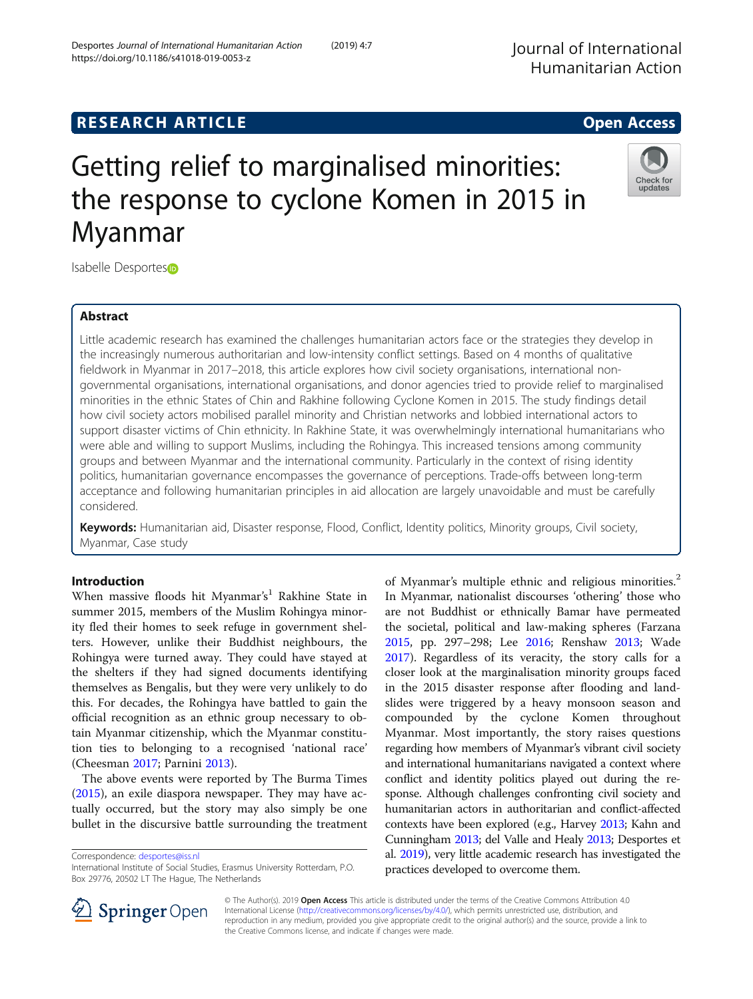## **RESEARCH ARTICLE Example 2018 12:00 Deep Access**

# Getting relief to marginalised minorities: the response to cyclone Komen in 2015 in Myanmar

I[s](http://orcid.org/0000-0001-6516-045X)abelle Desportes

### Abstract

Little academic research has examined the challenges humanitarian actors face or the strategies they develop in the increasingly numerous authoritarian and low-intensity conflict settings. Based on 4 months of qualitative fieldwork in Myanmar in 2017–2018, this article explores how civil society organisations, international nongovernmental organisations, international organisations, and donor agencies tried to provide relief to marginalised minorities in the ethnic States of Chin and Rakhine following Cyclone Komen in 2015. The study findings detail how civil society actors mobilised parallel minority and Christian networks and lobbied international actors to support disaster victims of Chin ethnicity. In Rakhine State, it was overwhelmingly international humanitarians who were able and willing to support Muslims, including the Rohingya. This increased tensions among community groups and between Myanmar and the international community. Particularly in the context of rising identity politics, humanitarian governance encompasses the governance of perceptions. Trade-offs between long-term acceptance and following humanitarian principles in aid allocation are largely unavoidable and must be carefully considered.

Keywords: Humanitarian aid, Disaster response, Flood, Conflict, Identity politics, Minority groups, Civil society, Myanmar, Case study

#### Introduction

When massive floods hit Myanmar's <sup>1</sup> Rakhine State in summer 2015, members of the Muslim Rohingya minority fled their homes to seek refuge in government shelters. However, unlike their Buddhist neighbours, the Rohingya were turned away. They could have stayed at the shelters if they had signed documents identifying themselves as Bengalis, but they were very unlikely to do this. For decades, the Rohingya have battled to gain the official recognition as an ethnic group necessary to obtain Myanmar citizenship, which the Myanmar constitution ties to belonging to a recognised 'national race' (Cheesman [2017;](#page-14-0) Parnini [2013](#page-15-0)).

The above events were reported by The Burma Times ([2015](#page-14-0)), an exile diaspora newspaper. They may have actually occurred, but the story may also simply be one bullet in the discursive battle surrounding the treatment

Correspondence: [desportes@iss.nl](mailto:desportes@iss.nl)

© The Author(s). 2019 Open Access This article is distributed under the terms of the Creative Commons Attribution 4.0 International License ([http://creativecommons.org/licenses/by/4.0/\)](http://creativecommons.org/licenses/by/4.0/), which permits unrestricted use, distribution, and reproduction in any medium, provided you give appropriate credit to the original author(s) and the source, provide a link to the Creative Commons license, and indicate if changes were made.

of Myanmar's multiple ethnic and religious minorities.<sup>2</sup> In Myanmar, nationalist discourses 'othering' those who are not Buddhist or ethnically Bamar have permeated the societal, political and law-making spheres (Farzana [2015](#page-14-0), pp. 297–298; Lee [2016;](#page-14-0) Renshaw [2013](#page-15-0); Wade [2017](#page-15-0)). Regardless of its veracity, the story calls for a closer look at the marginalisation minority groups faced in the 2015 disaster response after flooding and landslides were triggered by a heavy monsoon season and compounded by the cyclone Komen throughout Myanmar. Most importantly, the story raises questions regarding how members of Myanmar's vibrant civil society and international humanitarians navigated a context where conflict and identity politics played out during the response. Although challenges confronting civil society and humanitarian actors in authoritarian and conflict-affected contexts have been explored (e.g., Harvey [2013](#page-14-0); Kahn and Cunningham [2013;](#page-14-0) del Valle and Healy [2013;](#page-14-0) Desportes et al. [2019\)](#page-14-0), very little academic research has investigated the practices developed to overcome them.





SpringerOpen

International Institute of Social Studies, Erasmus University Rotterdam, P.O. Box 29776, 20502 LT The Hague, The Netherlands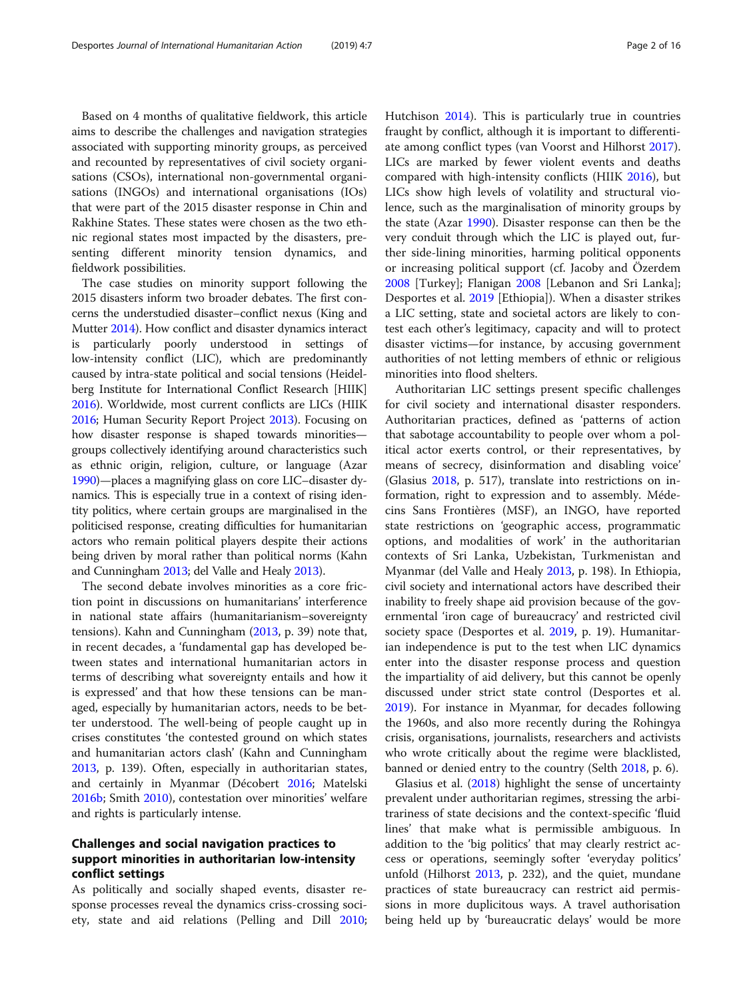Based on 4 months of qualitative fieldwork, this article aims to describe the challenges and navigation strategies associated with supporting minority groups, as perceived and recounted by representatives of civil society organisations (CSOs), international non-governmental organisations (INGOs) and international organisations (IOs) that were part of the 2015 disaster response in Chin and Rakhine States. These states were chosen as the two ethnic regional states most impacted by the disasters, presenting different minority tension dynamics, and fieldwork possibilities.

The case studies on minority support following the 2015 disasters inform two broader debates. The first concerns the understudied disaster–conflict nexus (King and Mutter [2014\)](#page-14-0). How conflict and disaster dynamics interact is particularly poorly understood in settings of low-intensity conflict (LIC), which are predominantly caused by intra-state political and social tensions (Heidelberg Institute for International Conflict Research [HIIK] [2016\)](#page-14-0). Worldwide, most current conflicts are LICs (HIIK [2016;](#page-14-0) Human Security Report Project [2013](#page-14-0)). Focusing on how disaster response is shaped towards minorities groups collectively identifying around characteristics such as ethnic origin, religion, culture, or language (Azar [1990\)](#page-14-0)—places a magnifying glass on core LIC–disaster dynamics. This is especially true in a context of rising identity politics, where certain groups are marginalised in the politicised response, creating difficulties for humanitarian actors who remain political players despite their actions being driven by moral rather than political norms (Kahn and Cunningham [2013](#page-14-0); del Valle and Healy [2013](#page-14-0)).

The second debate involves minorities as a core friction point in discussions on humanitarians' interference in national state affairs (humanitarianism–sovereignty tensions). Kahn and Cunningham [\(2013](#page-14-0), p. 39) note that, in recent decades, a 'fundamental gap has developed between states and international humanitarian actors in terms of describing what sovereignty entails and how it is expressed' and that how these tensions can be managed, especially by humanitarian actors, needs to be better understood. The well-being of people caught up in crises constitutes 'the contested ground on which states and humanitarian actors clash' (Kahn and Cunningham [2013](#page-14-0), p. 139). Often, especially in authoritarian states, and certainly in Myanmar (Décobert [2016](#page-14-0); Matelski [2016b](#page-15-0); Smith [2010](#page-15-0)), contestation over minorities' welfare and rights is particularly intense.

#### Challenges and social navigation practices to support minorities in authoritarian low-intensity conflict settings

As politically and socially shaped events, disaster response processes reveal the dynamics criss-crossing society, state and aid relations (Pelling and Dill [2010](#page-15-0); Hutchison [2014\)](#page-14-0). This is particularly true in countries fraught by conflict, although it is important to differentiate among conflict types (van Voorst and Hilhorst [2017](#page-15-0)). LICs are marked by fewer violent events and deaths compared with high-intensity conflicts (HIIK [2016\)](#page-14-0), but LICs show high levels of volatility and structural violence, such as the marginalisation of minority groups by the state (Azar [1990](#page-14-0)). Disaster response can then be the very conduit through which the LIC is played out, further side-lining minorities, harming political opponents or increasing political support (cf. Jacoby and Özerdem [2008](#page-14-0) [Turkey]; Flanigan [2008](#page-14-0) [Lebanon and Sri Lanka]; Desportes et al. [2019](#page-14-0) [Ethiopia]). When a disaster strikes a LIC setting, state and societal actors are likely to contest each other's legitimacy, capacity and will to protect disaster victims—for instance, by accusing government authorities of not letting members of ethnic or religious minorities into flood shelters.

Authoritarian LIC settings present specific challenges for civil society and international disaster responders. Authoritarian practices, defined as 'patterns of action that sabotage accountability to people over whom a political actor exerts control, or their representatives, by means of secrecy, disinformation and disabling voice' (Glasius [2018](#page-14-0), p. 517), translate into restrictions on information, right to expression and to assembly. Médecins Sans Frontières (MSF), an INGO, have reported state restrictions on 'geographic access, programmatic options, and modalities of work' in the authoritarian contexts of Sri Lanka, Uzbekistan, Turkmenistan and Myanmar (del Valle and Healy [2013](#page-14-0), p. 198). In Ethiopia, civil society and international actors have described their inability to freely shape aid provision because of the governmental 'iron cage of bureaucracy' and restricted civil society space (Desportes et al. [2019](#page-14-0), p. 19). Humanitarian independence is put to the test when LIC dynamics enter into the disaster response process and question the impartiality of aid delivery, but this cannot be openly discussed under strict state control (Desportes et al. [2019](#page-14-0)). For instance in Myanmar, for decades following the 1960s, and also more recently during the Rohingya crisis, organisations, journalists, researchers and activists who wrote critically about the regime were blacklisted, banned or denied entry to the country (Selth [2018](#page-15-0), p. 6).

Glasius et al. ([2018\)](#page-14-0) highlight the sense of uncertainty prevalent under authoritarian regimes, stressing the arbitrariness of state decisions and the context-specific 'fluid lines' that make what is permissible ambiguous. In addition to the 'big politics' that may clearly restrict access or operations, seemingly softer 'everyday politics' unfold (Hilhorst [2013,](#page-14-0) p. 232), and the quiet, mundane practices of state bureaucracy can restrict aid permissions in more duplicitous ways. A travel authorisation being held up by 'bureaucratic delays' would be more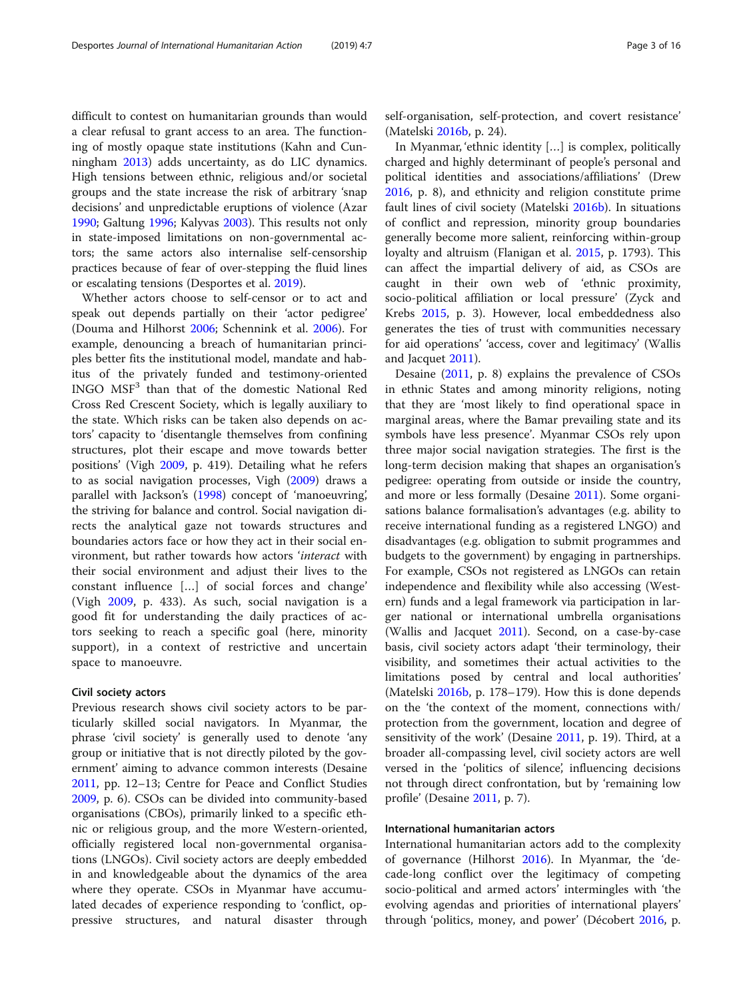difficult to contest on humanitarian grounds than would a clear refusal to grant access to an area. The functioning of mostly opaque state institutions (Kahn and Cunningham [2013](#page-14-0)) adds uncertainty, as do LIC dynamics. High tensions between ethnic, religious and/or societal groups and the state increase the risk of arbitrary 'snap decisions' and unpredictable eruptions of violence (Azar [1990](#page-14-0); Galtung [1996](#page-14-0); Kalyvas [2003](#page-14-0)). This results not only in state-imposed limitations on non-governmental actors; the same actors also internalise self-censorship practices because of fear of over-stepping the fluid lines or escalating tensions (Desportes et al. [2019\)](#page-14-0).

Whether actors choose to self-censor or to act and speak out depends partially on their 'actor pedigree' (Douma and Hilhorst [2006](#page-14-0); Schennink et al. [2006](#page-15-0)). For example, denouncing a breach of humanitarian principles better fits the institutional model, mandate and habitus of the privately funded and testimony-oriented INGO MSF<sup>3</sup> than that of the domestic National Red Cross Red Crescent Society, which is legally auxiliary to the state. Which risks can be taken also depends on actors' capacity to 'disentangle themselves from confining structures, plot their escape and move towards better positions' (Vigh [2009](#page-15-0), p. 419). Detailing what he refers to as social navigation processes, Vigh ([2009](#page-15-0)) draws a parallel with Jackson's [\(1998\)](#page-14-0) concept of 'manoeuvring', the striving for balance and control. Social navigation directs the analytical gaze not towards structures and boundaries actors face or how they act in their social environment, but rather towards how actors 'interact with their social environment and adjust their lives to the constant influence […] of social forces and change' (Vigh [2009](#page-15-0), p. 433). As such, social navigation is a good fit for understanding the daily practices of actors seeking to reach a specific goal (here, minority support), in a context of restrictive and uncertain space to manoeuvre.

#### Civil society actors

Previous research shows civil society actors to be particularly skilled social navigators. In Myanmar, the phrase 'civil society' is generally used to denote 'any group or initiative that is not directly piloted by the government' aiming to advance common interests (Desaine [2011](#page-14-0), pp. 12–13; Centre for Peace and Conflict Studies [2009](#page-14-0), p. 6). CSOs can be divided into community-based organisations (CBOs), primarily linked to a specific ethnic or religious group, and the more Western-oriented, officially registered local non-governmental organisations (LNGOs). Civil society actors are deeply embedded in and knowledgeable about the dynamics of the area where they operate. CSOs in Myanmar have accumulated decades of experience responding to 'conflict, oppressive structures, and natural disaster through self-organisation, self-protection, and covert resistance' (Matelski [2016b](#page-15-0), p. 24).

In Myanmar, 'ethnic identity […] is complex, politically charged and highly determinant of people's personal and political identities and associations/affiliations' (Drew [2016](#page-14-0), p. 8), and ethnicity and religion constitute prime fault lines of civil society (Matelski [2016b](#page-15-0)). In situations of conflict and repression, minority group boundaries generally become more salient, reinforcing within-group loyalty and altruism (Flanigan et al. [2015](#page-14-0), p. 1793). This can affect the impartial delivery of aid, as CSOs are caught in their own web of 'ethnic proximity, socio-political affiliation or local pressure' (Zyck and Krebs [2015](#page-15-0), p. 3). However, local embeddedness also generates the ties of trust with communities necessary for aid operations' 'access, cover and legitimacy' (Wallis and Jacquet [2011](#page-15-0)).

Desaine [\(2011,](#page-14-0) p. 8) explains the prevalence of CSOs in ethnic States and among minority religions, noting that they are 'most likely to find operational space in marginal areas, where the Bamar prevailing state and its symbols have less presence'. Myanmar CSOs rely upon three major social navigation strategies. The first is the long-term decision making that shapes an organisation's pedigree: operating from outside or inside the country, and more or less formally (Desaine [2011](#page-14-0)). Some organisations balance formalisation's advantages (e.g. ability to receive international funding as a registered LNGO) and disadvantages (e.g. obligation to submit programmes and budgets to the government) by engaging in partnerships. For example, CSOs not registered as LNGOs can retain independence and flexibility while also accessing (Western) funds and a legal framework via participation in larger national or international umbrella organisations (Wallis and Jacquet [2011](#page-15-0)). Second, on a case-by-case basis, civil society actors adapt 'their terminology, their visibility, and sometimes their actual activities to the limitations posed by central and local authorities' (Matelski  $2016b$ , p. 178–179). How this is done depends on the 'the context of the moment, connections with/ protection from the government, location and degree of sensitivity of the work' (Desaine [2011,](#page-14-0) p. 19). Third, at a broader all-compassing level, civil society actors are well versed in the 'politics of silence', influencing decisions not through direct confrontation, but by 'remaining low profile' (Desaine [2011,](#page-14-0) p. 7).

#### International humanitarian actors

International humanitarian actors add to the complexity of governance (Hilhorst [2016\)](#page-14-0). In Myanmar, the 'decade-long conflict over the legitimacy of competing socio-political and armed actors' intermingles with 'the evolving agendas and priorities of international players' through 'politics, money, and power' (Décobert [2016](#page-14-0), p.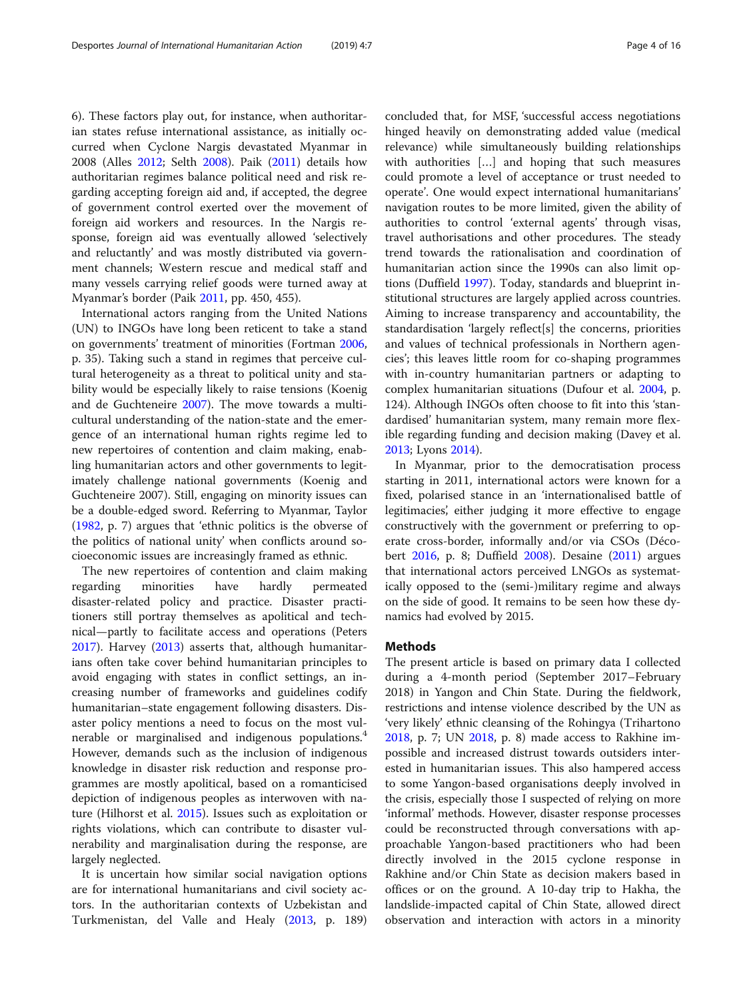6). These factors play out, for instance, when authoritarian states refuse international assistance, as initially occurred when Cyclone Nargis devastated Myanmar in 2008 (Alles [2012;](#page-14-0) Selth [2008](#page-15-0)). Paik [\(2011\)](#page-15-0) details how authoritarian regimes balance political need and risk regarding accepting foreign aid and, if accepted, the degree of government control exerted over the movement of foreign aid workers and resources. In the Nargis response, foreign aid was eventually allowed 'selectively and reluctantly' and was mostly distributed via government channels; Western rescue and medical staff and many vessels carrying relief goods were turned away at Myanmar's border (Paik [2011,](#page-15-0) pp. 450, 455).

International actors ranging from the United Nations (UN) to INGOs have long been reticent to take a stand on governments' treatment of minorities (Fortman [2006](#page-14-0), p. 35). Taking such a stand in regimes that perceive cultural heterogeneity as a threat to political unity and stability would be especially likely to raise tensions (Koenig and de Guchteneire [2007\)](#page-14-0). The move towards a multicultural understanding of the nation-state and the emergence of an international human rights regime led to new repertoires of contention and claim making, enabling humanitarian actors and other governments to legitimately challenge national governments (Koenig and Guchteneire 2007). Still, engaging on minority issues can be a double-edged sword. Referring to Myanmar, Taylor ([1982](#page-15-0), p. 7) argues that 'ethnic politics is the obverse of the politics of national unity' when conflicts around socioeconomic issues are increasingly framed as ethnic.

The new repertoires of contention and claim making regarding minorities have hardly permeated disaster-related policy and practice. Disaster practitioners still portray themselves as apolitical and technical—partly to facilitate access and operations (Peters [2017](#page-15-0)). Harvey ([2013\)](#page-14-0) asserts that, although humanitarians often take cover behind humanitarian principles to avoid engaging with states in conflict settings, an increasing number of frameworks and guidelines codify humanitarian–state engagement following disasters. Disaster policy mentions a need to focus on the most vulnerable or marginalised and indigenous populations.<sup>4</sup> However, demands such as the inclusion of indigenous knowledge in disaster risk reduction and response programmes are mostly apolitical, based on a romanticised depiction of indigenous peoples as interwoven with nature (Hilhorst et al. [2015\)](#page-14-0). Issues such as exploitation or rights violations, which can contribute to disaster vulnerability and marginalisation during the response, are largely neglected.

It is uncertain how similar social navigation options are for international humanitarians and civil society actors. In the authoritarian contexts of Uzbekistan and Turkmenistan, del Valle and Healy [\(2013,](#page-14-0) p. 189)

concluded that, for MSF, 'successful access negotiations hinged heavily on demonstrating added value (medical relevance) while simultaneously building relationships with authorities […] and hoping that such measures could promote a level of acceptance or trust needed to operate'. One would expect international humanitarians' navigation routes to be more limited, given the ability of authorities to control 'external agents' through visas, travel authorisations and other procedures. The steady trend towards the rationalisation and coordination of humanitarian action since the 1990s can also limit options (Duffield [1997\)](#page-14-0). Today, standards and blueprint institutional structures are largely applied across countries. Aiming to increase transparency and accountability, the standardisation 'largely reflect[s] the concerns, priorities and values of technical professionals in Northern agencies'; this leaves little room for co-shaping programmes with in-country humanitarian partners or adapting to complex humanitarian situations (Dufour et al. [2004](#page-14-0), p. 124). Although INGOs often choose to fit into this 'standardised' humanitarian system, many remain more flexible regarding funding and decision making (Davey et al. [2013](#page-14-0); Lyons [2014](#page-14-0)).

In Myanmar, prior to the democratisation process starting in 2011, international actors were known for a fixed, polarised stance in an 'internationalised battle of legitimacies', either judging it more effective to engage constructively with the government or preferring to operate cross-border, informally and/or via CSOs (Décobert [2016,](#page-14-0) p. 8; Duffield [2008](#page-14-0)). Desaine ([2011](#page-14-0)) argues that international actors perceived LNGOs as systematically opposed to the (semi-)military regime and always on the side of good. It remains to be seen how these dynamics had evolved by 2015.

#### **Methods**

The present article is based on primary data I collected during a 4-month period (September 2017–February 2018) in Yangon and Chin State. During the fieldwork, restrictions and intense violence described by the UN as 'very likely' ethnic cleansing of the Rohingya (Trihartono [2018](#page-15-0), p. 7; UN [2018,](#page-15-0) p. 8) made access to Rakhine impossible and increased distrust towards outsiders interested in humanitarian issues. This also hampered access to some Yangon-based organisations deeply involved in the crisis, especially those I suspected of relying on more 'informal' methods. However, disaster response processes could be reconstructed through conversations with approachable Yangon-based practitioners who had been directly involved in the 2015 cyclone response in Rakhine and/or Chin State as decision makers based in offices or on the ground. A 10-day trip to Hakha, the landslide-impacted capital of Chin State, allowed direct observation and interaction with actors in a minority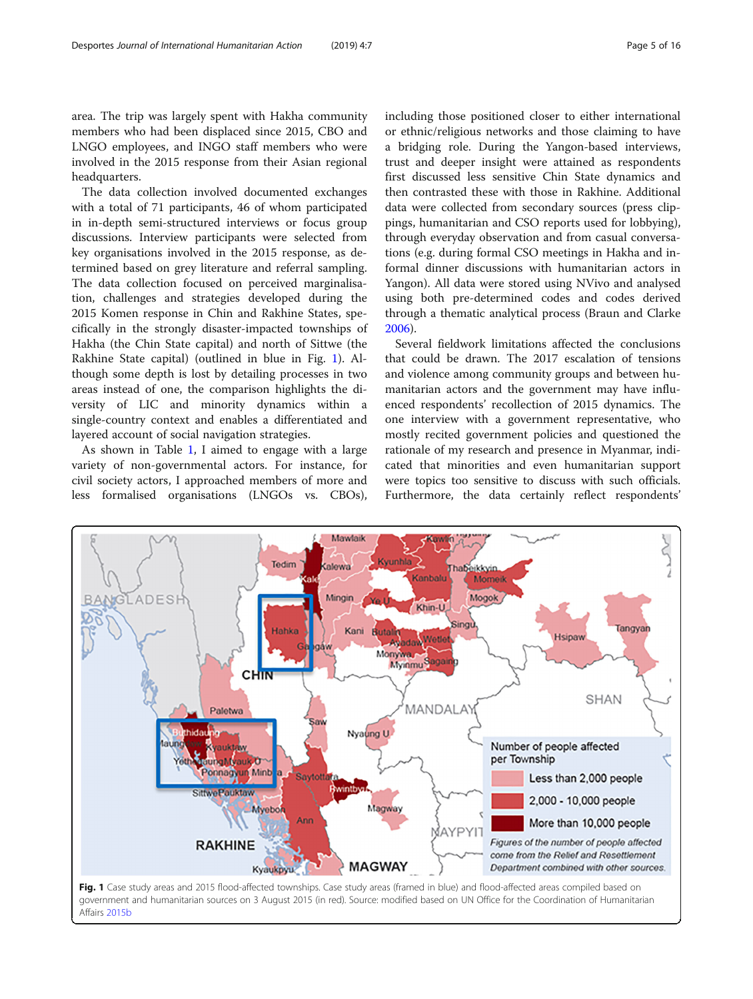area. The trip was largely spent with Hakha community members who had been displaced since 2015, CBO and LNGO employees, and INGO staff members who were involved in the 2015 response from their Asian regional headquarters.

The data collection involved documented exchanges with a total of 71 participants, 46 of whom participated in in-depth semi-structured interviews or focus group discussions. Interview participants were selected from key organisations involved in the 2015 response, as determined based on grey literature and referral sampling. The data collection focused on perceived marginalisation, challenges and strategies developed during the 2015 Komen response in Chin and Rakhine States, specifically in the strongly disaster-impacted townships of Hakha (the Chin State capital) and north of Sittwe (the Rakhine State capital) (outlined in blue in Fig. 1). Although some depth is lost by detailing processes in two areas instead of one, the comparison highlights the diversity of LIC and minority dynamics within a single-country context and enables a differentiated and layered account of social navigation strategies.

As shown in Table [1](#page-5-0), I aimed to engage with a large variety of non-governmental actors. For instance, for civil society actors, I approached members of more and less formalised organisations (LNGOs vs. CBOs),

including those positioned closer to either international or ethnic/religious networks and those claiming to have a bridging role. During the Yangon-based interviews, trust and deeper insight were attained as respondents first discussed less sensitive Chin State dynamics and then contrasted these with those in Rakhine. Additional data were collected from secondary sources (press clippings, humanitarian and CSO reports used for lobbying), through everyday observation and from casual conversations (e.g. during formal CSO meetings in Hakha and informal dinner discussions with humanitarian actors in Yangon). All data were stored using NVivo and analysed using both pre-determined codes and codes derived through a thematic analytical process (Braun and Clarke [2006](#page-14-0)).

Several fieldwork limitations affected the conclusions that could be drawn. The 2017 escalation of tensions and violence among community groups and between humanitarian actors and the government may have influenced respondents' recollection of 2015 dynamics. The one interview with a government representative, who mostly recited government policies and questioned the rationale of my research and presence in Myanmar, indicated that minorities and even humanitarian support were topics too sensitive to discuss with such officials. Furthermore, the data certainly reflect respondents'



Fig. 1 Case study areas and 2015 flood-affected townships. Case study areas (framed in blue) and flood-affected areas compiled based on government and humanitarian sources on 3 August 2015 (in red). Source: modified based on UN Office for the Coordination of Humanitarian Affairs [2015b](#page-15-0)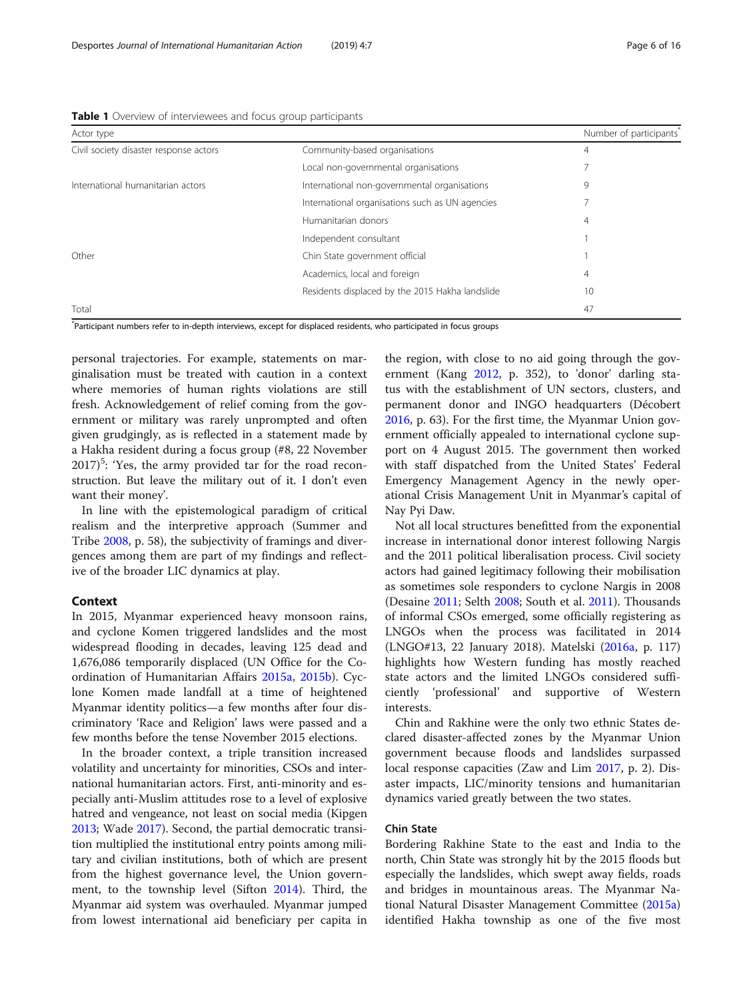| Actor type                             |                                                 | Number of participants <sup>®</sup> |
|----------------------------------------|-------------------------------------------------|-------------------------------------|
| Civil society disaster response actors | Community-based organisations                   | 4                                   |
|                                        | Local non-governmental organisations            |                                     |
| International humanitarian actors      | International non-governmental organisations    | 9                                   |
|                                        | International organisations such as UN agencies |                                     |
|                                        | Humanitarian donors                             | 4                                   |
|                                        | Independent consultant                          |                                     |
| Other                                  | Chin State government official                  |                                     |
|                                        | Academics, local and foreign                    | 4                                   |
|                                        | Residents displaced by the 2015 Hakha landslide | 10                                  |
| Total                                  |                                                 | 47                                  |

<span id="page-5-0"></span>Table 1 Overview of interviewees and focus group participants

\* Participant numbers refer to in-depth interviews, except for displaced residents, who participated in focus groups

personal trajectories. For example, statements on marginalisation must be treated with caution in a context where memories of human rights violations are still fresh. Acknowledgement of relief coming from the government or military was rarely unprompted and often given grudgingly, as is reflected in a statement made by a Hakha resident during a focus group (#8, 22 November  $2017$ <sup>5</sup>: 'Yes, the army provided tar for the road reconstruction. But leave the military out of it. I don't even want their money'.

In line with the epistemological paradigm of critical realism and the interpretive approach (Summer and Tribe [2008,](#page-15-0) p. 58), the subjectivity of framings and divergences among them are part of my findings and reflective of the broader LIC dynamics at play.

#### Context

In 2015, Myanmar experienced heavy monsoon rains, and cyclone Komen triggered landslides and the most widespread flooding in decades, leaving 125 dead and 1,676,086 temporarily displaced (UN Office for the Coordination of Humanitarian Affairs [2015a](#page-15-0), [2015b](#page-15-0)). Cyclone Komen made landfall at a time of heightened Myanmar identity politics—a few months after four discriminatory 'Race and Religion' laws were passed and a few months before the tense November 2015 elections.

In the broader context, a triple transition increased volatility and uncertainty for minorities, CSOs and international humanitarian actors. First, anti-minority and especially anti-Muslim attitudes rose to a level of explosive hatred and vengeance, not least on social media (Kipgen [2013](#page-14-0); Wade [2017\)](#page-15-0). Second, the partial democratic transition multiplied the institutional entry points among military and civilian institutions, both of which are present from the highest governance level, the Union government, to the township level (Sifton [2014](#page-15-0)). Third, the Myanmar aid system was overhauled. Myanmar jumped from lowest international aid beneficiary per capita in

the region, with close to no aid going through the government (Kang [2012,](#page-14-0) p. 352), to 'donor' darling status with the establishment of UN sectors, clusters, and permanent donor and INGO headquarters (Décobert [2016](#page-14-0), p. 63). For the first time, the Myanmar Union government officially appealed to international cyclone support on 4 August 2015. The government then worked with staff dispatched from the United States' Federal Emergency Management Agency in the newly operational Crisis Management Unit in Myanmar's capital of Nay Pyi Daw.

Not all local structures benefitted from the exponential increase in international donor interest following Nargis and the 2011 political liberalisation process. Civil society actors had gained legitimacy following their mobilisation as sometimes sole responders to cyclone Nargis in 2008 (Desaine [2011;](#page-14-0) Selth [2008;](#page-15-0) South et al. [2011](#page-15-0)). Thousands of informal CSOs emerged, some officially registering as LNGOs when the process was facilitated in 2014 (LNGO#13, 22 January 2018). Matelski [\(2016a](#page-14-0), p. 117) highlights how Western funding has mostly reached state actors and the limited LNGOs considered sufficiently 'professional' and supportive of Western interests.

Chin and Rakhine were the only two ethnic States declared disaster-affected zones by the Myanmar Union government because floods and landslides surpassed local response capacities (Zaw and Lim [2017](#page-15-0), p. 2). Disaster impacts, LIC/minority tensions and humanitarian dynamics varied greatly between the two states.

#### Chin State

Bordering Rakhine State to the east and India to the north, Chin State was strongly hit by the 2015 floods but especially the landslides, which swept away fields, roads and bridges in mountainous areas. The Myanmar National Natural Disaster Management Committee [\(2015a](#page-15-0)) identified Hakha township as one of the five most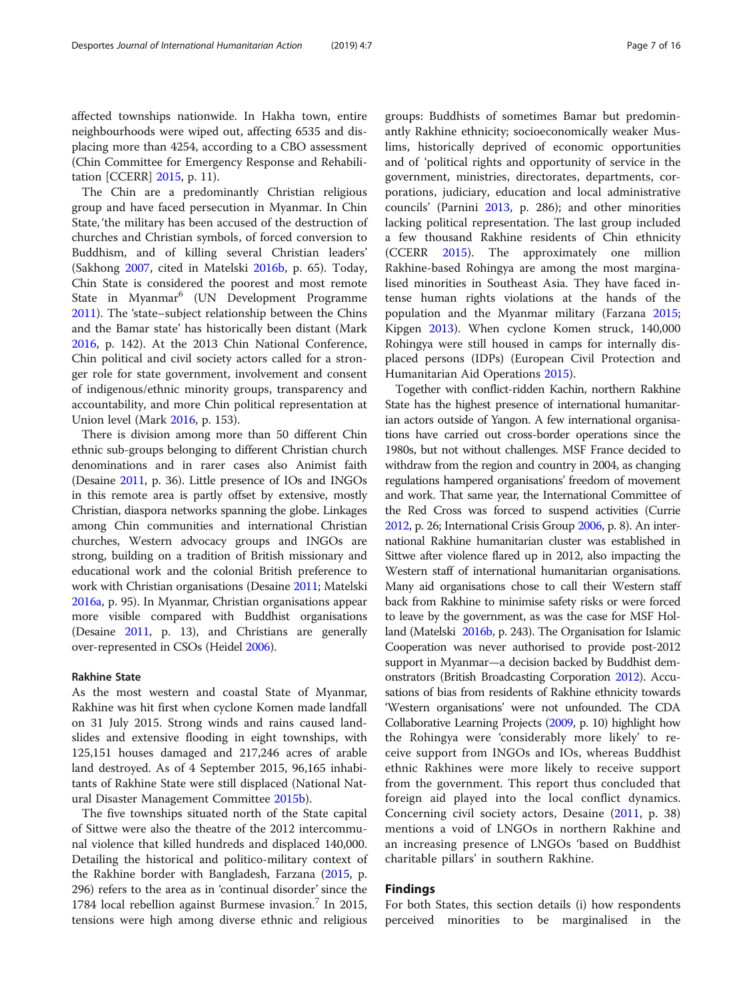affected townships nationwide. In Hakha town, entire neighbourhoods were wiped out, affecting 6535 and displacing more than 4254, according to a CBO assessment (Chin Committee for Emergency Response and Rehabilitation [CCERR] [2015](#page-14-0), p. 11).

The Chin are a predominantly Christian religious group and have faced persecution in Myanmar. In Chin State, 'the military has been accused of the destruction of churches and Christian symbols, of forced conversion to Buddhism, and of killing several Christian leaders' (Sakhong [2007,](#page-15-0) cited in Matelski [2016b](#page-15-0), p. 65). Today, Chin State is considered the poorest and most remote State in Myanmar<sup>6</sup> (UN Development Programme [2011](#page-15-0)). The 'state–subject relationship between the Chins and the Bamar state' has historically been distant (Mark [2016](#page-14-0), p. 142). At the 2013 Chin National Conference, Chin political and civil society actors called for a stronger role for state government, involvement and consent of indigenous/ethnic minority groups, transparency and accountability, and more Chin political representation at Union level (Mark [2016,](#page-14-0) p. 153).

There is division among more than 50 different Chin ethnic sub-groups belonging to different Christian church denominations and in rarer cases also Animist faith (Desaine [2011](#page-14-0), p. 36). Little presence of IOs and INGOs in this remote area is partly offset by extensive, mostly Christian, diaspora networks spanning the globe. Linkages among Chin communities and international Christian churches, Western advocacy groups and INGOs are strong, building on a tradition of British missionary and educational work and the colonial British preference to work with Christian organisations (Desaine [2011;](#page-14-0) Matelski [2016a](#page-14-0), p. 95). In Myanmar, Christian organisations appear more visible compared with Buddhist organisations (Desaine [2011](#page-14-0), p. 13), and Christians are generally over-represented in CSOs (Heidel [2006\)](#page-14-0).

#### Rakhine State

As the most western and coastal State of Myanmar, Rakhine was hit first when cyclone Komen made landfall on 31 July 2015. Strong winds and rains caused landslides and extensive flooding in eight townships, with 125,151 houses damaged and 217,246 acres of arable land destroyed. As of 4 September 2015, 96,165 inhabitants of Rakhine State were still displaced (National Natural Disaster Management Committee [2015b\)](#page-15-0).

The five townships situated north of the State capital of Sittwe were also the theatre of the 2012 intercommunal violence that killed hundreds and displaced 140,000. Detailing the historical and politico-military context of the Rakhine border with Bangladesh, Farzana [\(2015,](#page-14-0) p. 296) refers to the area as in 'continual disorder' since the 1784 local rebellion against Burmese invasion.<sup>7</sup> In 2015, tensions were high among diverse ethnic and religious groups: Buddhists of sometimes Bamar but predominantly Rakhine ethnicity; socioeconomically weaker Muslims, historically deprived of economic opportunities and of 'political rights and opportunity of service in the government, ministries, directorates, departments, corporations, judiciary, education and local administrative councils' (Parnini [2013,](#page-15-0) p. 286); and other minorities lacking political representation. The last group included a few thousand Rakhine residents of Chin ethnicity (CCERR [2015\)](#page-14-0). The approximately one million Rakhine-based Rohingya are among the most marginalised minorities in Southeast Asia. They have faced intense human rights violations at the hands of the population and the Myanmar military (Farzana [2015](#page-14-0); Kipgen [2013](#page-14-0)). When cyclone Komen struck, 140,000 Rohingya were still housed in camps for internally displaced persons (IDPs) (European Civil Protection and Humanitarian Aid Operations [2015](#page-14-0)).

Together with conflict-ridden Kachin, northern Rakhine State has the highest presence of international humanitarian actors outside of Yangon. A few international organisations have carried out cross-border operations since the 1980s, but not without challenges. MSF France decided to withdraw from the region and country in 2004, as changing regulations hampered organisations' freedom of movement and work. That same year, the International Committee of the Red Cross was forced to suspend activities (Currie [2012,](#page-14-0) p. 26; International Crisis Group [2006](#page-14-0), p. 8). An international Rakhine humanitarian cluster was established in Sittwe after violence flared up in 2012, also impacting the Western staff of international humanitarian organisations. Many aid organisations chose to call their Western staff back from Rakhine to minimise safety risks or were forced to leave by the government, as was the case for MSF Holland (Matelski [2016b,](#page-15-0) p. 243). The Organisation for Islamic Cooperation was never authorised to provide post-2012 support in Myanmar—a decision backed by Buddhist demonstrators (British Broadcasting Corporation [2012\)](#page-14-0). Accusations of bias from residents of Rakhine ethnicity towards 'Western organisations' were not unfounded. The CDA Collaborative Learning Projects ([2009](#page-14-0), p. 10) highlight how the Rohingya were 'considerably more likely' to receive support from INGOs and IOs, whereas Buddhist ethnic Rakhines were more likely to receive support from the government. This report thus concluded that foreign aid played into the local conflict dynamics. Concerning civil society actors, Desaine [\(2011](#page-14-0), p. 38) mentions a void of LNGOs in northern Rakhine and an increasing presence of LNGOs 'based on Buddhist charitable pillars' in southern Rakhine.

#### Findings

For both States, this section details (i) how respondents perceived minorities to be marginalised in the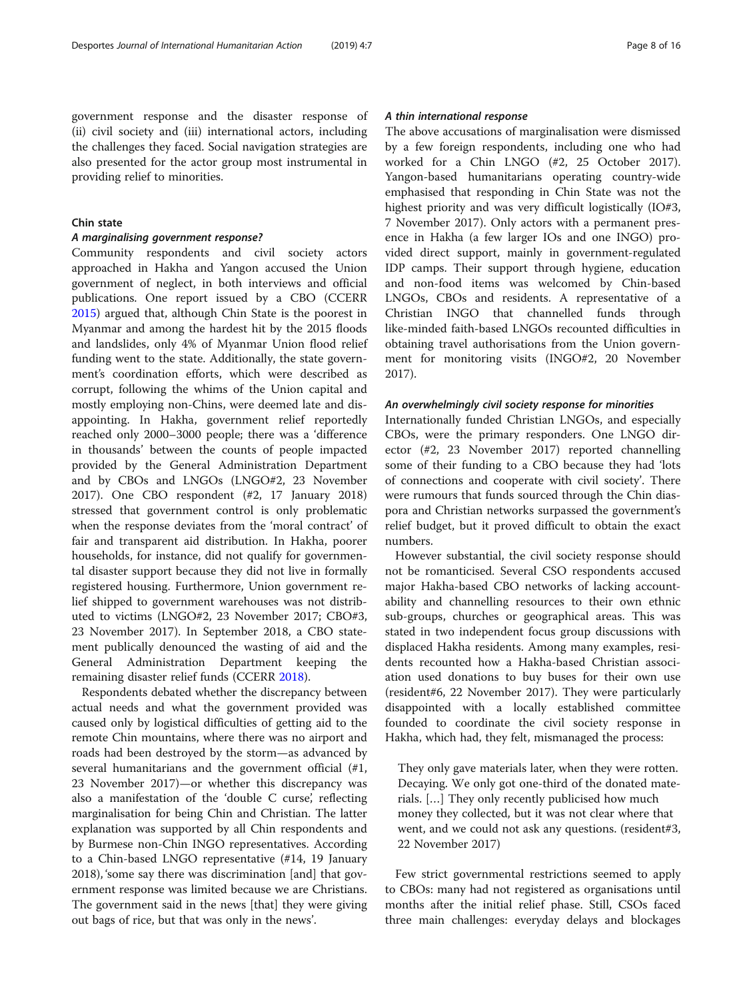government response and the disaster response of (ii) civil society and (iii) international actors, including the challenges they faced. Social navigation strategies are also presented for the actor group most instrumental in providing relief to minorities.

#### Chin state

#### A marginalising government response?

Community respondents and civil society actors approached in Hakha and Yangon accused the Union government of neglect, in both interviews and official publications. One report issued by a CBO (CCERR [2015](#page-14-0)) argued that, although Chin State is the poorest in Myanmar and among the hardest hit by the 2015 floods and landslides, only 4% of Myanmar Union flood relief funding went to the state. Additionally, the state government's coordination efforts, which were described as corrupt, following the whims of the Union capital and mostly employing non-Chins, were deemed late and disappointing. In Hakha, government relief reportedly reached only 2000–3000 people; there was a 'difference in thousands' between the counts of people impacted provided by the General Administration Department and by CBOs and LNGOs (LNGO#2, 23 November 2017). One CBO respondent (#2, 17 January 2018) stressed that government control is only problematic when the response deviates from the 'moral contract' of fair and transparent aid distribution. In Hakha, poorer households, for instance, did not qualify for governmental disaster support because they did not live in formally registered housing. Furthermore, Union government relief shipped to government warehouses was not distributed to victims (LNGO#2, 23 November 2017; CBO#3, 23 November 2017). In September 2018, a CBO statement publically denounced the wasting of aid and the General Administration Department keeping the remaining disaster relief funds (CCERR [2018\)](#page-14-0).

Respondents debated whether the discrepancy between actual needs and what the government provided was caused only by logistical difficulties of getting aid to the remote Chin mountains, where there was no airport and roads had been destroyed by the storm—as advanced by several humanitarians and the government official (#1, 23 November 2017)—or whether this discrepancy was also a manifestation of the 'double C curse', reflecting marginalisation for being Chin and Christian. The latter explanation was supported by all Chin respondents and by Burmese non-Chin INGO representatives. According to a Chin-based LNGO representative (#14, 19 January 2018), 'some say there was discrimination [and] that government response was limited because we are Christians. The government said in the news [that] they were giving out bags of rice, but that was only in the news'.

#### A thin international response

The above accusations of marginalisation were dismissed by a few foreign respondents, including one who had worked for a Chin LNGO (#2, 25 October 2017). Yangon-based humanitarians operating country-wide emphasised that responding in Chin State was not the highest priority and was very difficult logistically (IO#3, 7 November 2017). Only actors with a permanent presence in Hakha (a few larger IOs and one INGO) provided direct support, mainly in government-regulated IDP camps. Their support through hygiene, education and non-food items was welcomed by Chin-based LNGOs, CBOs and residents. A representative of a Christian INGO that channelled funds through like-minded faith-based LNGOs recounted difficulties in obtaining travel authorisations from the Union government for monitoring visits (INGO#2, 20 November 2017).

#### An overwhelmingly civil society response for minorities

Internationally funded Christian LNGOs, and especially CBOs, were the primary responders. One LNGO director (#2, 23 November 2017) reported channelling some of their funding to a CBO because they had 'lots of connections and cooperate with civil society'. There were rumours that funds sourced through the Chin diaspora and Christian networks surpassed the government's relief budget, but it proved difficult to obtain the exact numbers.

However substantial, the civil society response should not be romanticised. Several CSO respondents accused major Hakha-based CBO networks of lacking accountability and channelling resources to their own ethnic sub-groups, churches or geographical areas. This was stated in two independent focus group discussions with displaced Hakha residents. Among many examples, residents recounted how a Hakha-based Christian association used donations to buy buses for their own use (resident#6, 22 November 2017). They were particularly disappointed with a locally established committee founded to coordinate the civil society response in Hakha, which had, they felt, mismanaged the process:

They only gave materials later, when they were rotten. Decaying. We only got one-third of the donated materials. […] They only recently publicised how much money they collected, but it was not clear where that went, and we could not ask any questions. (resident#3, 22 November 2017)

Few strict governmental restrictions seemed to apply to CBOs: many had not registered as organisations until months after the initial relief phase. Still, CSOs faced three main challenges: everyday delays and blockages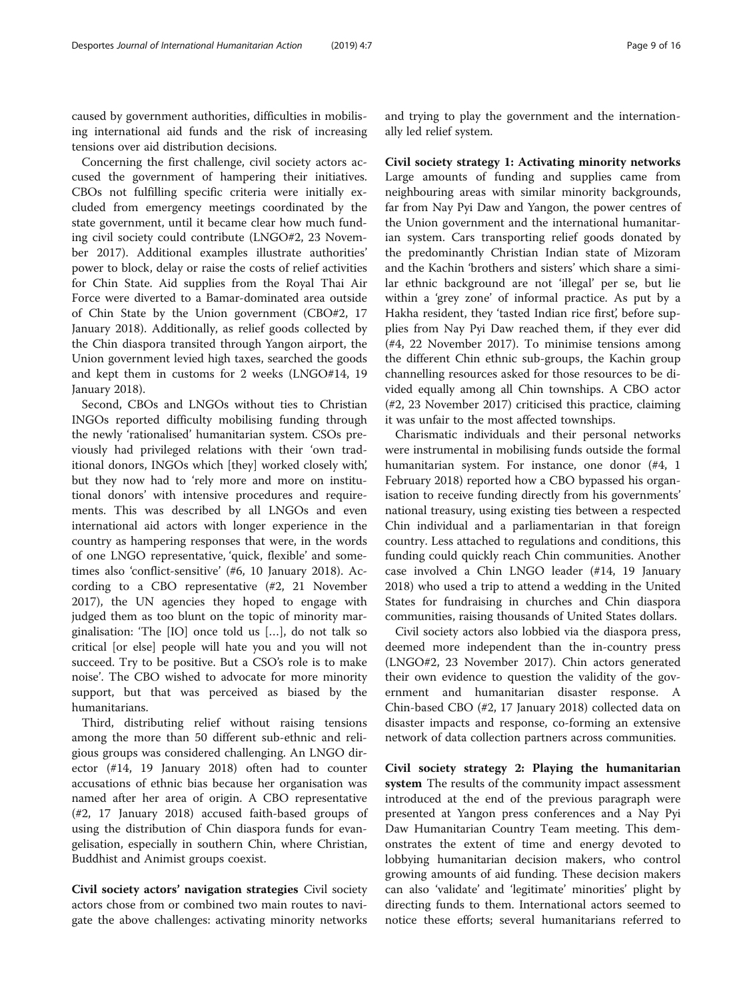caused by government authorities, difficulties in mobilising international aid funds and the risk of increasing tensions over aid distribution decisions.

Concerning the first challenge, civil society actors accused the government of hampering their initiatives. CBOs not fulfilling specific criteria were initially excluded from emergency meetings coordinated by the state government, until it became clear how much funding civil society could contribute (LNGO#2, 23 November 2017). Additional examples illustrate authorities' power to block, delay or raise the costs of relief activities for Chin State. Aid supplies from the Royal Thai Air Force were diverted to a Bamar-dominated area outside of Chin State by the Union government (CBO#2, 17 January 2018). Additionally, as relief goods collected by the Chin diaspora transited through Yangon airport, the Union government levied high taxes, searched the goods and kept them in customs for 2 weeks (LNGO#14, 19 January 2018).

Second, CBOs and LNGOs without ties to Christian INGOs reported difficulty mobilising funding through the newly 'rationalised' humanitarian system. CSOs previously had privileged relations with their 'own traditional donors, INGOs which [they] worked closely with', but they now had to 'rely more and more on institutional donors' with intensive procedures and requirements. This was described by all LNGOs and even international aid actors with longer experience in the country as hampering responses that were, in the words of one LNGO representative, 'quick, flexible' and sometimes also 'conflict-sensitive' (#6, 10 January 2018). According to a CBO representative (#2, 21 November 2017), the UN agencies they hoped to engage with judged them as too blunt on the topic of minority marginalisation: 'The [IO] once told us […], do not talk so critical [or else] people will hate you and you will not succeed. Try to be positive. But a CSO's role is to make noise'. The CBO wished to advocate for more minority support, but that was perceived as biased by the humanitarians.

Third, distributing relief without raising tensions among the more than 50 different sub-ethnic and religious groups was considered challenging. An LNGO director (#14, 19 January 2018) often had to counter accusations of ethnic bias because her organisation was named after her area of origin. A CBO representative (#2, 17 January 2018) accused faith-based groups of using the distribution of Chin diaspora funds for evangelisation, especially in southern Chin, where Christian, Buddhist and Animist groups coexist.

Civil society actors' navigation strategies Civil society actors chose from or combined two main routes to navigate the above challenges: activating minority networks and trying to play the government and the internationally led relief system.

Large amounts of funding and supplies came from neighbouring areas with similar minority backgrounds, far from Nay Pyi Daw and Yangon, the power centres of the Union government and the international humanitarian system. Cars transporting relief goods donated by the predominantly Christian Indian state of Mizoram and the Kachin 'brothers and sisters' which share a similar ethnic background are not 'illegal' per se, but lie within a 'grey zone' of informal practice. As put by a Hakha resident, they 'tasted Indian rice first', before supplies from Nay Pyi Daw reached them, if they ever did (#4, 22 November 2017). To minimise tensions among the different Chin ethnic sub-groups, the Kachin group channelling resources asked for those resources to be divided equally among all Chin townships. A CBO actor (#2, 23 November 2017) criticised this practice, claiming it was unfair to the most affected townships.

Charismatic individuals and their personal networks were instrumental in mobilising funds outside the formal humanitarian system. For instance, one donor (#4, 1 February 2018) reported how a CBO bypassed his organisation to receive funding directly from his governments' national treasury, using existing ties between a respected Chin individual and a parliamentarian in that foreign country. Less attached to regulations and conditions, this funding could quickly reach Chin communities. Another case involved a Chin LNGO leader (#14, 19 January 2018) who used a trip to attend a wedding in the United States for fundraising in churches and Chin diaspora communities, raising thousands of United States dollars.

Civil society actors also lobbied via the diaspora press, deemed more independent than the in-country press (LNGO#2, 23 November 2017). Chin actors generated their own evidence to question the validity of the government and humanitarian disaster response. A Chin-based CBO (#2, 17 January 2018) collected data on disaster impacts and response, co-forming an extensive network of data collection partners across communities.

system The results of the community impact assessment introduced at the end of the previous paragraph were presented at Yangon press conferences and a Nay Pyi Daw Humanitarian Country Team meeting. This demonstrates the extent of time and energy devoted to lobbying humanitarian decision makers, who control growing amounts of aid funding. These decision makers can also 'validate' and 'legitimate' minorities' plight by directing funds to them. International actors seemed to notice these efforts; several humanitarians referred to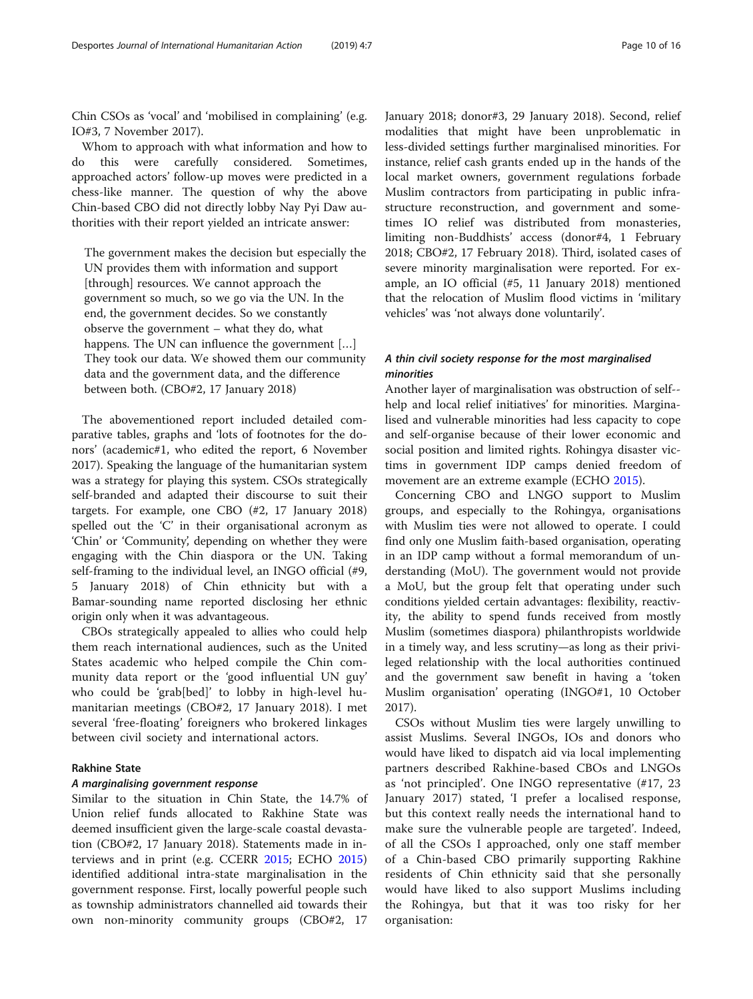Chin CSOs as 'vocal' and 'mobilised in complaining' (e.g. IO#3, 7 November 2017).

Whom to approach with what information and how to do this were carefully considered. Sometimes, approached actors' follow-up moves were predicted in a chess-like manner. The question of why the above Chin-based CBO did not directly lobby Nay Pyi Daw authorities with their report yielded an intricate answer:

The government makes the decision but especially the UN provides them with information and support [through] resources. We cannot approach the government so much, so we go via the UN. In the end, the government decides. So we constantly observe the government – what they do, what happens. The UN can influence the government […] They took our data. We showed them our community data and the government data, and the difference between both. (CBO#2, 17 January 2018)

The abovementioned report included detailed comparative tables, graphs and 'lots of footnotes for the donors' (academic#1, who edited the report, 6 November 2017). Speaking the language of the humanitarian system was a strategy for playing this system. CSOs strategically self-branded and adapted their discourse to suit their targets. For example, one CBO (#2, 17 January 2018) spelled out the 'C' in their organisational acronym as 'Chin' or 'Community', depending on whether they were engaging with the Chin diaspora or the UN. Taking self-framing to the individual level, an INGO official (#9, 5 January 2018) of Chin ethnicity but with a Bamar-sounding name reported disclosing her ethnic origin only when it was advantageous.

CBOs strategically appealed to allies who could help them reach international audiences, such as the United States academic who helped compile the Chin community data report or the 'good influential UN guy' who could be 'grab[bed]' to lobby in high-level humanitarian meetings (CBO#2, 17 January 2018). I met several 'free-floating' foreigners who brokered linkages between civil society and international actors.

#### Rakhine State

#### A marginalising government response

Similar to the situation in Chin State, the 14.7% of Union relief funds allocated to Rakhine State was deemed insufficient given the large-scale coastal devastation (CBO#2, 17 January 2018). Statements made in interviews and in print (e.g. CCERR [2015;](#page-14-0) ECHO [2015](#page-14-0)) identified additional intra-state marginalisation in the government response. First, locally powerful people such as township administrators channelled aid towards their own non-minority community groups (CBO#2, 17 January 2018; donor#3, 29 January 2018). Second, relief modalities that might have been unproblematic in less-divided settings further marginalised minorities. For instance, relief cash grants ended up in the hands of the local market owners, government regulations forbade Muslim contractors from participating in public infrastructure reconstruction, and government and sometimes IO relief was distributed from monasteries, limiting non-Buddhists' access (donor#4, 1 February 2018; CBO#2, 17 February 2018). Third, isolated cases of severe minority marginalisation were reported. For example, an IO official (#5, 11 January 2018) mentioned that the relocation of Muslim flood victims in 'military vehicles' was 'not always done voluntarily'.

#### A thin civil society response for the most marginalised minorities

Another layer of marginalisation was obstruction of self- help and local relief initiatives' for minorities. Marginalised and vulnerable minorities had less capacity to cope and self-organise because of their lower economic and social position and limited rights. Rohingya disaster victims in government IDP camps denied freedom of movement are an extreme example (ECHO [2015](#page-14-0)).

Concerning CBO and LNGO support to Muslim groups, and especially to the Rohingya, organisations with Muslim ties were not allowed to operate. I could find only one Muslim faith-based organisation, operating in an IDP camp without a formal memorandum of understanding (MoU). The government would not provide a MoU, but the group felt that operating under such conditions yielded certain advantages: flexibility, reactivity, the ability to spend funds received from mostly Muslim (sometimes diaspora) philanthropists worldwide in a timely way, and less scrutiny—as long as their privileged relationship with the local authorities continued and the government saw benefit in having a 'token Muslim organisation' operating (INGO#1, 10 October 2017).

CSOs without Muslim ties were largely unwilling to assist Muslims. Several INGOs, IOs and donors who would have liked to dispatch aid via local implementing partners described Rakhine-based CBOs and LNGOs as 'not principled'. One INGO representative (#17, 23 January 2017) stated, 'I prefer a localised response, but this context really needs the international hand to make sure the vulnerable people are targeted'. Indeed, of all the CSOs I approached, only one staff member of a Chin-based CBO primarily supporting Rakhine residents of Chin ethnicity said that she personally would have liked to also support Muslims including the Rohingya, but that it was too risky for her organisation: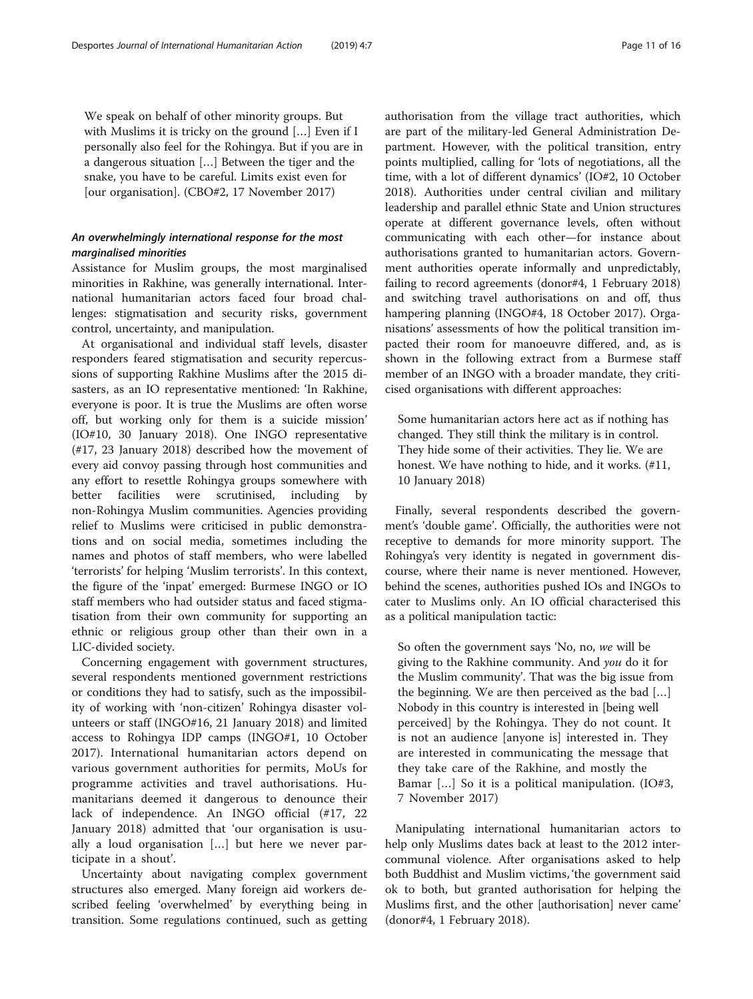We speak on behalf of other minority groups. But with Muslims it is tricky on the ground […] Even if I personally also feel for the Rohingya. But if you are in a dangerous situation […] Between the tiger and the snake, you have to be careful. Limits exist even for [our organisation]. (CBO#2, 17 November 2017)

#### An overwhelmingly international response for the most marginalised minorities

Assistance for Muslim groups, the most marginalised minorities in Rakhine, was generally international. International humanitarian actors faced four broad challenges: stigmatisation and security risks, government control, uncertainty, and manipulation.

At organisational and individual staff levels, disaster responders feared stigmatisation and security repercussions of supporting Rakhine Muslims after the 2015 disasters, as an IO representative mentioned: 'In Rakhine, everyone is poor. It is true the Muslims are often worse off, but working only for them is a suicide mission' (IO#10, 30 January 2018). One INGO representative (#17, 23 January 2018) described how the movement of every aid convoy passing through host communities and any effort to resettle Rohingya groups somewhere with better facilities were scrutinised, including by non-Rohingya Muslim communities. Agencies providing relief to Muslims were criticised in public demonstrations and on social media, sometimes including the names and photos of staff members, who were labelled 'terrorists' for helping 'Muslim terrorists'. In this context, the figure of the 'inpat' emerged: Burmese INGO or IO staff members who had outsider status and faced stigmatisation from their own community for supporting an ethnic or religious group other than their own in a LIC-divided society.

Concerning engagement with government structures, several respondents mentioned government restrictions or conditions they had to satisfy, such as the impossibility of working with 'non-citizen' Rohingya disaster volunteers or staff (INGO#16, 21 January 2018) and limited access to Rohingya IDP camps (INGO#1, 10 October 2017). International humanitarian actors depend on various government authorities for permits, MoUs for programme activities and travel authorisations. Humanitarians deemed it dangerous to denounce their lack of independence. An INGO official (#17, 22 January 2018) admitted that 'our organisation is usually a loud organisation […] but here we never participate in a shout'.

Uncertainty about navigating complex government structures also emerged. Many foreign aid workers described feeling 'overwhelmed' by everything being in transition. Some regulations continued, such as getting authorisation from the village tract authorities, which are part of the military-led General Administration Department. However, with the political transition, entry points multiplied, calling for 'lots of negotiations, all the time, with a lot of different dynamics' (IO#2, 10 October 2018). Authorities under central civilian and military leadership and parallel ethnic State and Union structures operate at different governance levels, often without communicating with each other—for instance about authorisations granted to humanitarian actors. Government authorities operate informally and unpredictably, failing to record agreements (donor#4, 1 February 2018) and switching travel authorisations on and off, thus hampering planning (INGO#4, 18 October 2017). Organisations' assessments of how the political transition impacted their room for manoeuvre differed, and, as is shown in the following extract from a Burmese staff member of an INGO with a broader mandate, they criticised organisations with different approaches:

Some humanitarian actors here act as if nothing has changed. They still think the military is in control. They hide some of their activities. They lie. We are honest. We have nothing to hide, and it works. (#11, 10 January 2018)

Finally, several respondents described the government's 'double game'. Officially, the authorities were not receptive to demands for more minority support. The Rohingya's very identity is negated in government discourse, where their name is never mentioned. However, behind the scenes, authorities pushed IOs and INGOs to cater to Muslims only. An IO official characterised this as a political manipulation tactic:

So often the government says 'No, no, we will be giving to the Rakhine community. And you do it for the Muslim community'. That was the big issue from the beginning. We are then perceived as the bad […] Nobody in this country is interested in [being well perceived] by the Rohingya. They do not count. It is not an audience [anyone is] interested in. They are interested in communicating the message that they take care of the Rakhine, and mostly the Bamar […] So it is a political manipulation. (IO#3, 7 November 2017)

Manipulating international humanitarian actors to help only Muslims dates back at least to the 2012 intercommunal violence. After organisations asked to help both Buddhist and Muslim victims, 'the government said ok to both, but granted authorisation for helping the Muslims first, and the other [authorisation] never came' (donor#4, 1 February 2018).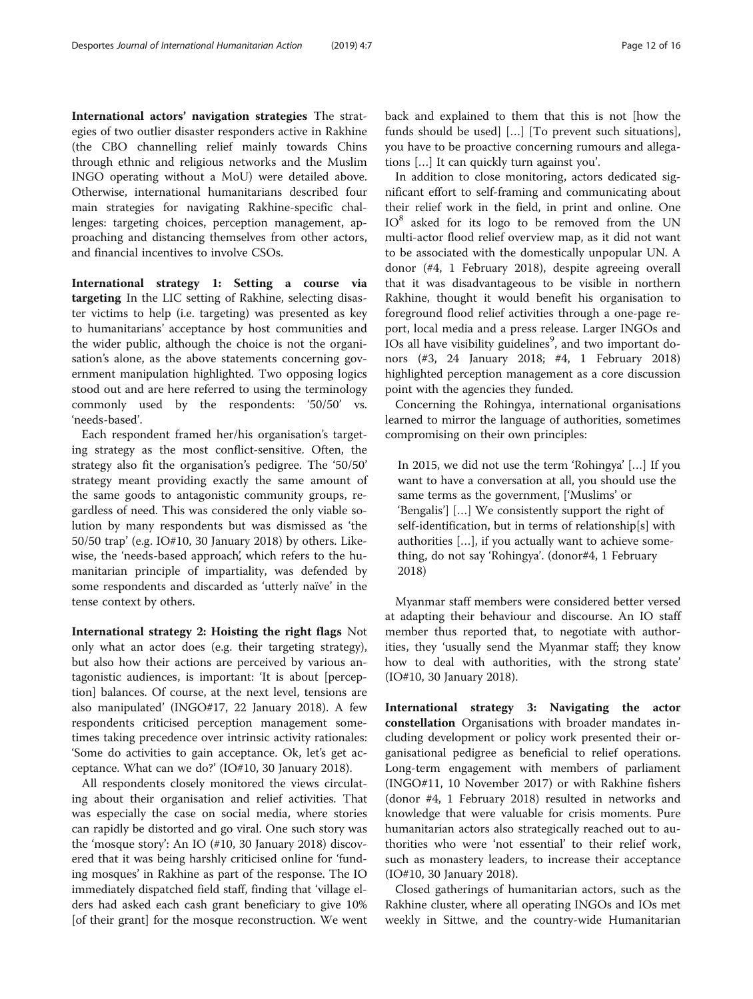International actors' navigation strategies The strategies of two outlier disaster responders active in Rakhine (the CBO channelling relief mainly towards Chins through ethnic and religious networks and the Muslim INGO operating without a MoU) were detailed above. Otherwise, international humanitarians described four main strategies for navigating Rakhine-specific challenges: targeting choices, perception management, approaching and distancing themselves from other actors, and financial incentives to involve CSOs.

**targeting** In the LIC setting of Rakhine, selecting disas-<br>ter victims to belp (i.e. targeting) was presented as key ter victims to help (i.e. targeting) was presented as key to humanitarians' acceptance by host communities and the wider public, although the choice is not the organisation's alone, as the above statements concerning government manipulation highlighted. Two opposing logics stood out and are here referred to using the terminology commonly used by the respondents: '50/50' vs. 'needs-based'.

Each respondent framed her/his organisation's targeting strategy as the most conflict-sensitive. Often, the strategy also fit the organisation's pedigree. The '50/50' strategy meant providing exactly the same amount of the same goods to antagonistic community groups, regardless of need. This was considered the only viable solution by many respondents but was dismissed as 'the 50/50 trap' (e.g. IO#10, 30 January 2018) by others. Likewise, the 'needs-based approach', which refers to the humanitarian principle of impartiality, was defended by some respondents and discarded as 'utterly naïve' in the tense context by others.

International strategy 2: Hoisting the right flags Not only what an actor does (e.g. their targeting strategy), but also how their actions are perceived by various antagonistic audiences, is important: 'It is about [perception] balances. Of course, at the next level, tensions are also manipulated' (INGO#17, 22 January 2018). A few respondents criticised perception management sometimes taking precedence over intrinsic activity rationales: 'Some do activities to gain acceptance. Ok, let's get acceptance. What can we do?' (IO#10, 30 January 2018).

All respondents closely monitored the views circulating about their organisation and relief activities. That was especially the case on social media, where stories can rapidly be distorted and go viral. One such story was the 'mosque story': An IO (#10, 30 January 2018) discovered that it was being harshly criticised online for 'funding mosques' in Rakhine as part of the response. The IO immediately dispatched field staff, finding that 'village elders had asked each cash grant beneficiary to give 10% [of their grant] for the mosque reconstruction. We went

back and explained to them that this is not [how the funds should be used] […] [To prevent such situations], you have to be proactive concerning rumours and allegations […] It can quickly turn against you'.

In addition to close monitoring, actors dedicated significant effort to self-framing and communicating about their relief work in the field, in print and online. One  $IO<sup>8</sup>$  asked for its logo to be removed from the UN multi-actor flood relief overview map, as it did not want to be associated with the domestically unpopular UN. A donor (#4, 1 February 2018), despite agreeing overall that it was disadvantageous to be visible in northern Rakhine, thought it would benefit his organisation to foreground flood relief activities through a one-page report, local media and a press release. Larger INGOs and IOs all have visibility guidelines<sup>9</sup>, and two important donors (#3, 24 January 2018; #4, 1 February 2018) highlighted perception management as a core discussion point with the agencies they funded.

Concerning the Rohingya, international organisations learned to mirror the language of authorities, sometimes compromising on their own principles:

In 2015, we did not use the term 'Rohingya' […] If you want to have a conversation at all, you should use the same terms as the government, ['Muslims' or 'Bengalis'] […] We consistently support the right of self-identification, but in terms of relationship[s] with authorities […], if you actually want to achieve something, do not say 'Rohingya'. (donor#4, 1 February 2018)

Myanmar staff members were considered better versed at adapting their behaviour and discourse. An IO staff member thus reported that, to negotiate with authorities, they 'usually send the Myanmar staff; they know how to deal with authorities, with the strong state' (IO#10, 30 January 2018).

constellation Organisations with broader mandates including development or policy work presented their organisational pedigree as beneficial to relief operations. Long-term engagement with members of parliament (INGO#11, 10 November 2017) or with Rakhine fishers (donor #4, 1 February 2018) resulted in networks and knowledge that were valuable for crisis moments. Pure humanitarian actors also strategically reached out to authorities who were 'not essential' to their relief work, such as monastery leaders, to increase their acceptance (IO#10, 30 January 2018).

Closed gatherings of humanitarian actors, such as the Rakhine cluster, where all operating INGOs and IOs met weekly in Sittwe, and the country-wide Humanitarian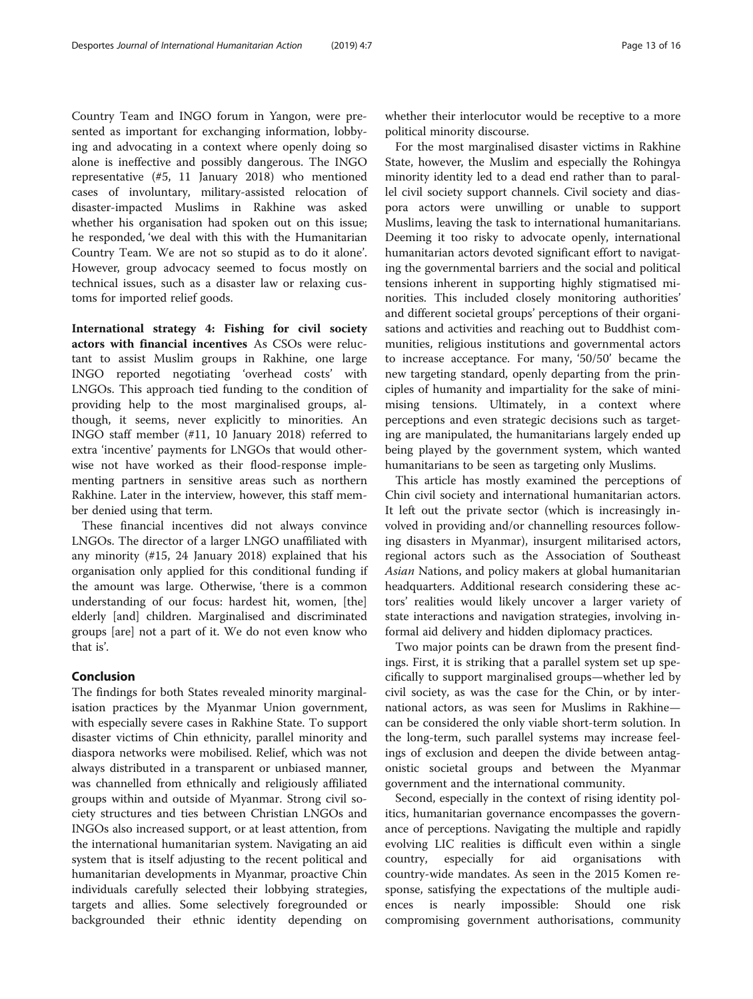Country Team and INGO forum in Yangon, were presented as important for exchanging information, lobbying and advocating in a context where openly doing so alone is ineffective and possibly dangerous. The INGO representative (#5, 11 January 2018) who mentioned cases of involuntary, military-assisted relocation of disaster-impacted Muslims in Rakhine was asked whether his organisation had spoken out on this issue; he responded, 'we deal with this with the Humanitarian Country Team. We are not so stupid as to do it alone'. However, group advocacy seemed to focus mostly on technical issues, such as a disaster law or relaxing customs for imported relief goods.

 $\frac{1}{2}$  actors with financial incentives As CSOs were reluctant to assist Muslim groups in Rakhine, one large INGO reported negotiating 'overhead costs' with LNGOs. This approach tied funding to the condition of providing help to the most marginalised groups, although, it seems, never explicitly to minorities. An INGO staff member (#11, 10 January 2018) referred to extra 'incentive' payments for LNGOs that would otherwise not have worked as their flood-response implementing partners in sensitive areas such as northern Rakhine. Later in the interview, however, this staff member denied using that term.

These financial incentives did not always convince LNGOs. The director of a larger LNGO unaffiliated with any minority (#15, 24 January 2018) explained that his organisation only applied for this conditional funding if the amount was large. Otherwise, 'there is a common understanding of our focus: hardest hit, women, [the] elderly [and] children. Marginalised and discriminated groups [are] not a part of it. We do not even know who that is'.

#### Conclusion

The findings for both States revealed minority marginalisation practices by the Myanmar Union government, with especially severe cases in Rakhine State. To support disaster victims of Chin ethnicity, parallel minority and diaspora networks were mobilised. Relief, which was not always distributed in a transparent or unbiased manner, was channelled from ethnically and religiously affiliated groups within and outside of Myanmar. Strong civil society structures and ties between Christian LNGOs and INGOs also increased support, or at least attention, from the international humanitarian system. Navigating an aid system that is itself adjusting to the recent political and humanitarian developments in Myanmar, proactive Chin individuals carefully selected their lobbying strategies, targets and allies. Some selectively foregrounded or backgrounded their ethnic identity depending on whether their interlocutor would be receptive to a more political minority discourse.

For the most marginalised disaster victims in Rakhine State, however, the Muslim and especially the Rohingya minority identity led to a dead end rather than to parallel civil society support channels. Civil society and diaspora actors were unwilling or unable to support Muslims, leaving the task to international humanitarians. Deeming it too risky to advocate openly, international humanitarian actors devoted significant effort to navigating the governmental barriers and the social and political tensions inherent in supporting highly stigmatised minorities. This included closely monitoring authorities' and different societal groups' perceptions of their organisations and activities and reaching out to Buddhist communities, religious institutions and governmental actors to increase acceptance. For many, '50/50' became the new targeting standard, openly departing from the principles of humanity and impartiality for the sake of minimising tensions. Ultimately, in a context where perceptions and even strategic decisions such as targeting are manipulated, the humanitarians largely ended up being played by the government system, which wanted humanitarians to be seen as targeting only Muslims.

This article has mostly examined the perceptions of Chin civil society and international humanitarian actors. It left out the private sector (which is increasingly involved in providing and/or channelling resources following disasters in Myanmar), insurgent militarised actors, regional actors such as the Association of Southeast Asian Nations, and policy makers at global humanitarian headquarters. Additional research considering these actors' realities would likely uncover a larger variety of state interactions and navigation strategies, involving informal aid delivery and hidden diplomacy practices.

Two major points can be drawn from the present findings. First, it is striking that a parallel system set up specifically to support marginalised groups—whether led by civil society, as was the case for the Chin, or by international actors, as was seen for Muslims in Rakhine can be considered the only viable short-term solution. In the long-term, such parallel systems may increase feelings of exclusion and deepen the divide between antagonistic societal groups and between the Myanmar government and the international community.

Second, especially in the context of rising identity politics, humanitarian governance encompasses the governance of perceptions. Navigating the multiple and rapidly evolving LIC realities is difficult even within a single country, especially for aid organisations with country-wide mandates. As seen in the 2015 Komen response, satisfying the expectations of the multiple audiences is nearly impossible: Should one risk compromising government authorisations, community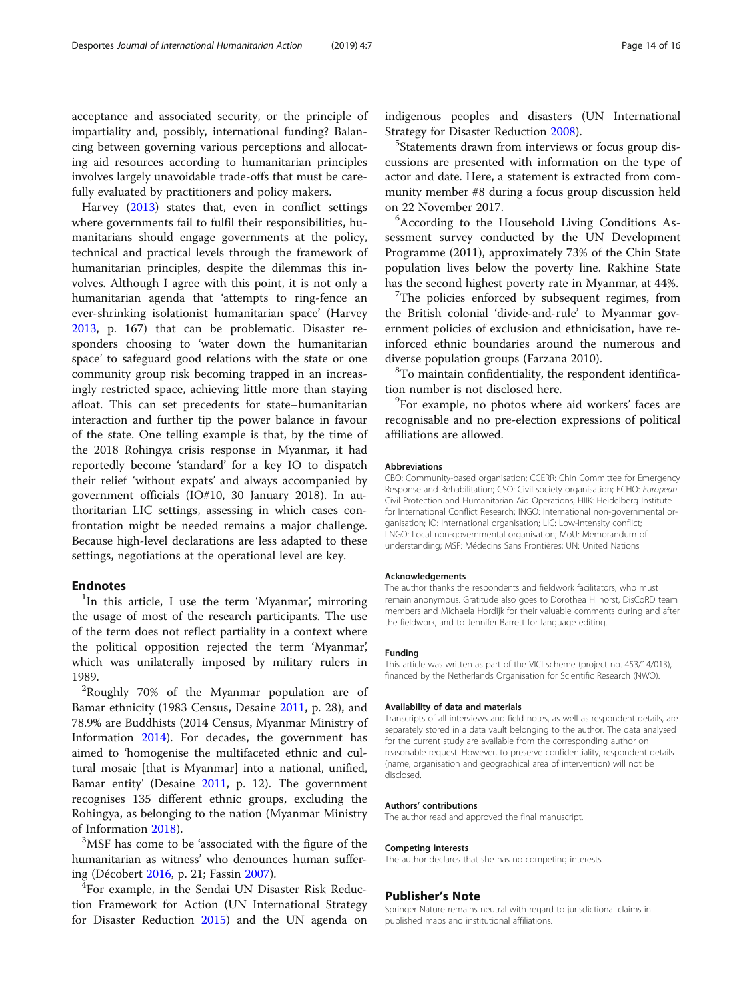acceptance and associated security, or the principle of impartiality and, possibly, international funding? Balancing between governing various perceptions and allocating aid resources according to humanitarian principles involves largely unavoidable trade-offs that must be carefully evaluated by practitioners and policy makers.

Harvey ([2013\)](#page-14-0) states that, even in conflict settings where governments fail to fulfil their responsibilities, humanitarians should engage governments at the policy, technical and practical levels through the framework of humanitarian principles, despite the dilemmas this involves. Although I agree with this point, it is not only a humanitarian agenda that 'attempts to ring-fence an ever-shrinking isolationist humanitarian space' (Harvey [2013](#page-14-0), p. 167) that can be problematic. Disaster responders choosing to 'water down the humanitarian space' to safeguard good relations with the state or one community group risk becoming trapped in an increasingly restricted space, achieving little more than staying afloat. This can set precedents for state–humanitarian interaction and further tip the power balance in favour of the state. One telling example is that, by the time of the 2018 Rohingya crisis response in Myanmar, it had reportedly become 'standard' for a key IO to dispatch their relief 'without expats' and always accompanied by government officials (IO#10, 30 January 2018). In authoritarian LIC settings, assessing in which cases confrontation might be needed remains a major challenge. Because high-level declarations are less adapted to these settings, negotiations at the operational level are key.

#### **Endnotes**

 $1$ In this article, I use the term 'Myanmar', mirroring the usage of most of the research participants. The use of the term does not reflect partiality in a context where the political opposition rejected the term 'Myanmar', which was unilaterally imposed by military rulers in 1989.

<sup>2</sup>Roughly 70% of the Myanmar population are of Bamar ethnicity (1983 Census, Desaine [2011](#page-14-0), p. 28), and 78.9% are Buddhists (2014 Census, Myanmar Ministry of Information [2014\)](#page-15-0). For decades, the government has aimed to 'homogenise the multifaceted ethnic and cultural mosaic [that is Myanmar] into a national, unified, Bamar entity' (Desaine [2011](#page-14-0), p. 12). The government recognises 135 different ethnic groups, excluding the Rohingya, as belonging to the nation (Myanmar Ministry of Information [2018](#page-15-0)).

<sup>3</sup>MSF has come to be 'associated with the figure of the humanitarian as witness' who denounces human suffering (Décobert [2016](#page-14-0), p. 21; Fassin [2007](#page-14-0)). <sup>4</sup>

<sup>4</sup>For example, in the Sendai UN Disaster Risk Reduction Framework for Action (UN International Strategy for Disaster Reduction [2015\)](#page-15-0) and the UN agenda on

indigenous peoples and disasters (UN International Strategy for Disaster Reduction [2008](#page-15-0)).

<sup>5</sup>Statements drawn from interviews or focus group discussions are presented with information on the type of actor and date. Here, a statement is extracted from community member #8 during a focus group discussion held on 22 November 2017.

According to the Household Living Conditions Assessment survey conducted by the UN Development Programme (2011), approximately 73% of the Chin State population lives below the poverty line. Rakhine State has the second highest poverty rate in Myanmar, at 44%.

 $7$ The policies enforced by subsequent regimes, from the British colonial 'divide-and-rule' to Myanmar government policies of exclusion and ethnicisation, have reinforced ethnic boundaries around the numerous and diverse population groups (Farzana 2010).

To maintain confidentiality, the respondent identification number is not disclosed here.

<sup>9</sup>For example, no photos where aid workers' faces are recognisable and no pre-election expressions of political affiliations are allowed.

#### Abbreviations

CBO: Community-based organisation; CCERR: Chin Committee for Emergency Response and Rehabilitation; CSO: Civil society organisation; ECHO: European Civil Protection and Humanitarian Aid Operations; HIIK: Heidelberg Institute for International Conflict Research; INGO: International non-governmental organisation; IO: International organisation; LIC: Low-intensity conflict; LNGO: Local non-governmental organisation; MoU: Memorandum of understanding; MSF: Médecins Sans Frontières; UN: United Nations

#### Acknowledgements

The author thanks the respondents and fieldwork facilitators, who must remain anonymous. Gratitude also goes to Dorothea Hilhorst, DisCoRD team members and Michaela Hordijk for their valuable comments during and after the fieldwork, and to Jennifer Barrett for language editing.

#### Funding

This article was written as part of the VICI scheme (project no. 453/14/013), financed by the Netherlands Organisation for Scientific Research (NWO).

#### Availability of data and materials

Transcripts of all interviews and field notes, as well as respondent details, are separately stored in a data vault belonging to the author. The data analysed for the current study are available from the corresponding author on reasonable request. However, to preserve confidentiality, respondent details (name, organisation and geographical area of intervention) will not be disclosed.

#### Authors' contributions

The author read and approved the final manuscript.

#### Competing interests

The author declares that she has no competing interests.

#### Publisher's Note

Springer Nature remains neutral with regard to jurisdictional claims in published maps and institutional affiliations.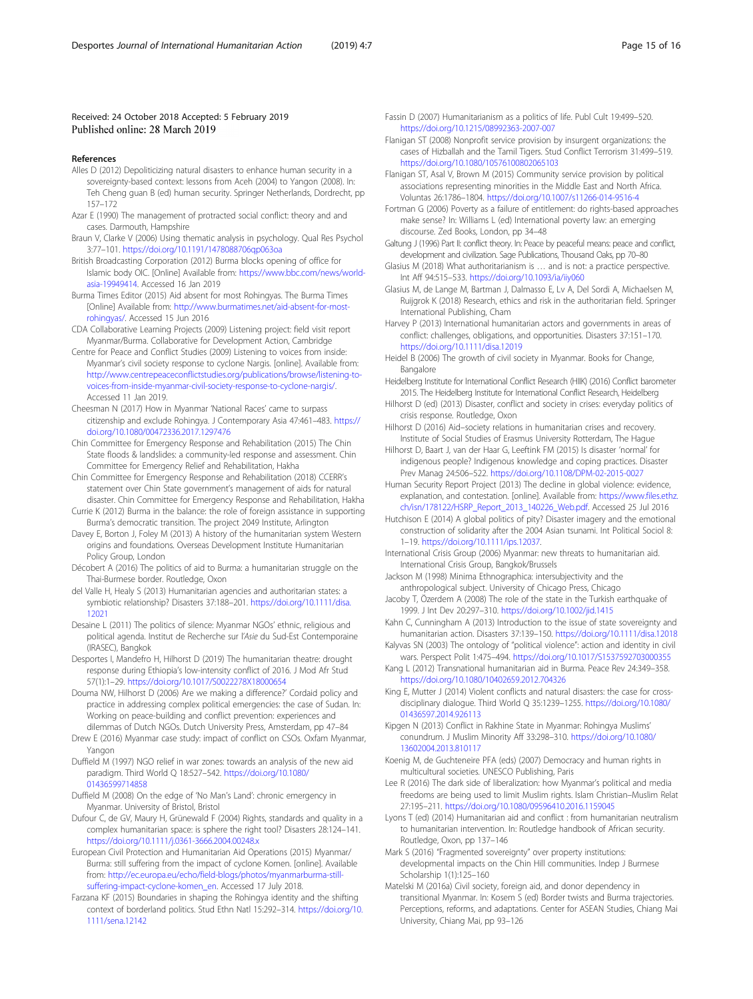#### <span id="page-14-0"></span>Received: 24 October 2018 Accepted: 5 February 2019 Published online: 28 March 2019

- References
- Alles D (2012) Depoliticizing natural disasters to enhance human security in a sovereignty-based context: lessons from Aceh (2004) to Yangon (2008). In: Teh Cheng guan B (ed) human security. Springer Netherlands, Dordrecht, pp 157–172
- Azar E (1990) The management of protracted social conflict: theory and and cases. Darmouth, Hampshire
- Braun V, Clarke V (2006) Using thematic analysis in psychology. Qual Res Psychol 3:77–101. <https://doi.org/10.1191/1478088706qp063oa>
- British Broadcasting Corporation (2012) Burma blocks opening of office for Islamic body OIC. [Online] Available from: [https://www.bbc.com/news/world](https://www.bbc.com/news/world-asia-19949414)[asia-19949414.](https://www.bbc.com/news/world-asia-19949414) Accessed 16 Jan 2019
- Burma Times Editor (2015) Aid absent for most Rohingyas. The Burma Times [Online] Available from: [http://www.burmatimes.net/aid-absent-for-most](http://www.burmatimes.net/aid-absent-for-most-rohingyas/)[rohingyas/.](http://www.burmatimes.net/aid-absent-for-most-rohingyas/) Accessed 15 Jun 2016
- CDA Collaborative Learning Projects (2009) Listening project: field visit report Myanmar/Burma. Collaborative for Development Action, Cambridge
- Centre for Peace and Conflict Studies (2009) Listening to voices from inside: Myanmar's civil society response to cyclone Nargis. [online]. Available from: [http://www.centrepeaceconflictstudies.org/publications/browse/listening-to](http://www.centrepeaceconflictstudies.org/publications/browse/listening-to-voices-from-inside-myanmar-civil-society-response-to-cyclone-nargis/)[voices-from-inside-myanmar-civil-society-response-to-cyclone-nargis/](http://www.centrepeaceconflictstudies.org/publications/browse/listening-to-voices-from-inside-myanmar-civil-society-response-to-cyclone-nargis/). Accessed 11 Jan 2019.
- Cheesman N (2017) How in Myanmar 'National Races' came to surpass citizenship and exclude Rohingya. J Contemporary Asia 47:461–483. [https://](https://doi.org/10.1080/00472336.2017.1297476) [doi.org/10.1080/00472336.2017.1297476](https://doi.org/10.1080/00472336.2017.1297476)
- Chin Committee for Emergency Response and Rehabilitation (2015) The Chin State floods & landslides: a community-led response and assessment. Chin Committee for Emergency Relief and Rehabilitation, Hakha
- Chin Committee for Emergency Response and Rehabilitation (2018) CCERR's statement over Chin State government's management of aids for natural disaster. Chin Committee for Emergency Response and Rehabilitation, Hakha
- Currie K (2012) Burma in the balance: the role of foreign assistance in supporting Burma's democratic transition. The project 2049 Institute, Arlington
- Davey E, Borton J, Foley M (2013) A history of the humanitarian system Western origins and foundations. Overseas Development Institute Humanitarian Policy Group, London
- Décobert A (2016) The politics of aid to Burma: a humanitarian struggle on the Thai-Burmese border. Routledge, Oxon
- del Valle H, Healy S (2013) Humanitarian agencies and authoritarian states: a symbiotic relationship? Disasters 37:188–201. [https://doi.org/10.1111/disa.](https://doi.org/10.1111/disa.12021) [12021](https://doi.org/10.1111/disa.12021)
- Desaine L (2011) The politics of silence: Myanmar NGOs' ethnic, religious and political agenda. Institut de Recherche sur l'Asie du Sud-Est Contemporaine (IRASEC), Bangkok
- Desportes I, Mandefro H, Hilhorst D (2019) The humanitarian theatre: drought response during Ethiopia's low-intensity conflict of 2016. J Mod Afr Stud 57(1):1–29. <https://doi.org/10.1017/S0022278X18000654>
- Douma NW, Hilhorst D (2006) Are we making a difference?' Cordaid policy and practice in addressing complex political emergencies: the case of Sudan. In: Working on peace-building and conflict prevention: experiences and dilemmas of Dutch NGOs. Dutch University Press, Amsterdam, pp 47–84
- Drew E (2016) Myanmar case study: impact of conflict on CSOs. Oxfam Myanmar, Yangor
- Duffield M (1997) NGO relief in war zones: towards an analysis of the new aid paradigm. Third World Q 18:527–542. [https://doi.org/10.1080/](https://doi.org/10.1080/01436599714858) [01436599714858](https://doi.org/10.1080/01436599714858)
- Duffield M (2008) On the edge of 'No Man's Land': chronic emergency in Myanmar. University of Bristol, Bristol
- Dufour C, de GV, Maury H, Grünewald F (2004) Rights, standards and quality in a complex humanitarian space: is sphere the right tool? Disasters 28:124–141. <https://doi.org/10.1111/j.0361-3666.2004.00248.x>
- European Civil Protection and Humanitarian Aid Operations (2015) Myanmar/ Burma: still suffering from the impact of cyclone Komen. [online]. Available from: [http://ec.europa.eu/echo/field-blogs/photos/myanmarburma-still](http://ec.europa.eu/echo/field-blogs/photos/myanmarburma-still-suffering-impact-cyclone-komen_en)[suffering-impact-cyclone-komen\\_en](http://ec.europa.eu/echo/field-blogs/photos/myanmarburma-still-suffering-impact-cyclone-komen_en). Accessed 17 July 2018.
- Farzana KF (2015) Boundaries in shaping the Rohingya identity and the shifting context of borderland politics. Stud Ethn Natl 15:292–314. [https://doi.org/10.](https://doi.org/10.1111/sena.12142) [1111/sena.12142](https://doi.org/10.1111/sena.12142)

Fassin D (2007) Humanitarianism as a politics of life. Publ Cult 19:499–520. <https://doi.org/10.1215/08992363-2007-007>

- Flanigan ST (2008) Nonprofit service provision by insurgent organizations: the cases of Hizballah and the Tamil Tigers. Stud Conflict Terrorism 31:499–519. <https://doi.org/10.1080/10576100802065103>
- Flanigan ST, Asal V, Brown M (2015) Community service provision by political associations representing minorities in the Middle East and North Africa. Voluntas 26:1786–1804. <https://doi.org/10.1007/s11266-014-9516-4>
- Fortman G (2006) Poverty as a failure of entitlement: do rights-based approaches make sense? In: Williams L (ed) International poverty law: an emerging discourse. Zed Books, London, pp 34–48
- Galtung J (1996) Part II: conflict theory. In: Peace by peaceful means: peace and conflict, development and civilization. Sage Publications, Thousand Oaks, pp 70–80
- Glasius M (2018) What authoritarianism is … and is not: a practice perspective. Int Aff 94:515–533. <https://doi.org/10.1093/ia/iiy060>
- Glasius M, de Lange M, Bartman J, Dalmasso E, Lv A, Del Sordi A, Michaelsen M, Ruijgrok K (2018) Research, ethics and risk in the authoritarian field. Springer International Publishing, Cham
- Harvey P (2013) International humanitarian actors and governments in areas of conflict: challenges, obligations, and opportunities. Disasters 37:151–170. <https://doi.org/10.1111/disa.12019>
- Heidel B (2006) The growth of civil society in Myanmar. Books for Change, Bangalore
- Heidelberg Institute for International Conflict Research (HIIK) (2016) Conflict barometer 2015. The Heidelberg Institute for International Conflict Research, Heidelberg
- Hilhorst D (ed) (2013) Disaster, conflict and society in crises: everyday politics of crisis response. Routledge, Oxon
- Hilhorst D (2016) Aid–society relations in humanitarian crises and recovery. Institute of Social Studies of Erasmus University Rotterdam, The Hague
- Hilhorst D, Baart J, van der Haar G, Leeftink FM (2015) Is disaster 'normal' for indigenous people? Indigenous knowledge and coping practices. Disaster Prev Manag 24:506–522. <https://doi.org/10.1108/DPM-02-2015-0027>
- Human Security Report Project (2013) The decline in global violence: evidence, explanation, and contestation. [online]. Available from: [https://www.files.ethz.](https://www.files.ethz.ch/isn/178122/HSRP_Report_2013_140226_Web.pdf) [ch/isn/178122/HSRP\\_Report\\_2013\\_140226\\_Web.pdf](https://www.files.ethz.ch/isn/178122/HSRP_Report_2013_140226_Web.pdf). Accessed 25 Jul 2016
- Hutchison E (2014) A global politics of pity? Disaster imagery and the emotional construction of solidarity after the 2004 Asian tsunami. Int Political Sociol 8: 1–19. <https://doi.org/10.1111/ips.12037>.
- International Crisis Group (2006) Myanmar: new threats to humanitarian aid. International Crisis Group, Bangkok/Brussels
- Jackson M (1998) Minima Ethnographica: intersubjectivity and the anthropological subject. University of Chicago Press, Chicago
- Jacoby T, Özerdem A (2008) The role of the state in the Turkish earthquake of 1999. J Int Dev 20:297–310. <https://doi.org/10.1002/jid.1415>
- Kahn C, Cunningham A (2013) Introduction to the issue of state sovereignty and humanitarian action. Disasters 37:139–150. <https://doi.org/10.1111/disa.12018>
- Kalyvas SN (2003) The ontology of "political violence": action and identity in civil wars. Perspect Polit 1:475–494. <https://doi.org/10.1017/S1537592703000355>
- Kang L (2012) Transnational humanitarian aid in Burma. Peace Rev 24:349–358. <https://doi.org/10.1080/10402659.2012.704326>
- King E, Mutter J (2014) Violent conflicts and natural disasters: the case for crossdisciplinary dialogue. Third World Q 35:1239–1255. [https://doi.org/10.1080/](https://doi.org/10.1080/01436597.2014.926113) [01436597.2014.926113](https://doi.org/10.1080/01436597.2014.926113)
- Kipgen N (2013) Conflict in Rakhine State in Myanmar: Rohingya Muslims' conundrum. J Muslim Minority Aff 33:298–310. [https://doi.org/10.1080/](https://doi.org/10.1080/13602004.2013.810117) [13602004.2013.810117](https://doi.org/10.1080/13602004.2013.810117)
- Koenig M, de Guchteneire PFA (eds) (2007) Democracy and human rights in multicultural societies. UNESCO Publishing, Paris
- Lee R (2016) The dark side of liberalization: how Myanmar's political and media freedoms are being used to limit Muslim rights. Islam Christian–Muslim Relat 27:195–211. <https://doi.org/10.1080/09596410.2016.1159045>
- Lyons T (ed) (2014) Humanitarian aid and conflict : from humanitarian neutralism to humanitarian intervention. In: Routledge handbook of African security. Routledge, Oxon, pp 137–146
- Mark S (2016) "Fragmented sovereignty" over property institutions: developmental impacts on the Chin Hill communities. Indep J Burmese Scholarship 1(1):125–160
- Matelski M (2016a) Civil society, foreign aid, and donor dependency in transitional Myanmar. In: Kosem S (ed) Border twists and Burma trajectories. Perceptions, reforms, and adaptations. Center for ASEAN Studies, Chiang Mai University, Chiang Mai, pp 93–126